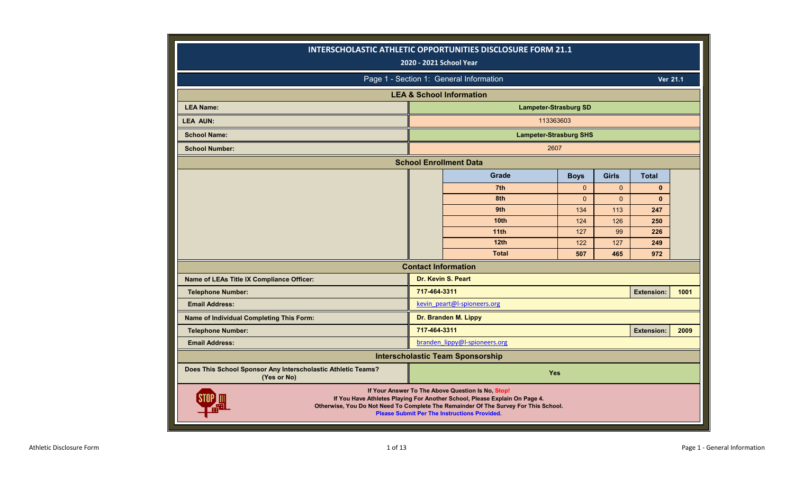|                                                                                                                                                                                                                                                                             | 2020 - 2021 School Year    | INTERSCHOLASTIC ATHLETIC OPPORTUNITIES DISCLOSURE FORM 21.1                                                                                                                                                                                                                   |     |     |                   |      |  |  |  |  |  |  |  |
|-----------------------------------------------------------------------------------------------------------------------------------------------------------------------------------------------------------------------------------------------------------------------------|----------------------------|-------------------------------------------------------------------------------------------------------------------------------------------------------------------------------------------------------------------------------------------------------------------------------|-----|-----|-------------------|------|--|--|--|--|--|--|--|
|                                                                                                                                                                                                                                                                             |                            | Page 1 - Section 1: General Information                                                                                                                                                                                                                                       |     |     | <b>Ver 21.1</b>   |      |  |  |  |  |  |  |  |
|                                                                                                                                                                                                                                                                             |                            | <b>LEA &amp; School Information</b>                                                                                                                                                                                                                                           |     |     |                   |      |  |  |  |  |  |  |  |
| <b>LEA Name:</b>                                                                                                                                                                                                                                                            |                            | <b>Lampeter-Strasburg SD</b>                                                                                                                                                                                                                                                  |     |     |                   |      |  |  |  |  |  |  |  |
| <b>LEA AUN:</b>                                                                                                                                                                                                                                                             |                            | 113363603                                                                                                                                                                                                                                                                     |     |     |                   |      |  |  |  |  |  |  |  |
| <b>School Name:</b>                                                                                                                                                                                                                                                         |                            | <b>Lampeter-Strasburg SHS</b>                                                                                                                                                                                                                                                 |     |     |                   |      |  |  |  |  |  |  |  |
| <b>School Number:</b>                                                                                                                                                                                                                                                       |                            | 2607                                                                                                                                                                                                                                                                          |     |     |                   |      |  |  |  |  |  |  |  |
|                                                                                                                                                                                                                                                                             |                            | <b>School Enrollment Data</b>                                                                                                                                                                                                                                                 |     |     |                   |      |  |  |  |  |  |  |  |
| Grade<br><b>Boys</b><br><b>Girls</b><br><b>Total</b><br>7th<br>$\mathbf{0}$<br>$\mathbf{0}$<br>$\mathbf{0}$<br>8th<br>$\mathbf{0}$<br>$\Omega$<br>$\mathbf{0}$<br>9th<br>113<br>247<br>134<br>10 <sub>th</sub><br>126<br>250<br>124<br>11 <sub>th</sub><br>127<br>99<br>226 |                            |                                                                                                                                                                                                                                                                               |     |     |                   |      |  |  |  |  |  |  |  |
| 12th<br>122<br>127<br>249                                                                                                                                                                                                                                                   |                            |                                                                                                                                                                                                                                                                               |     |     |                   |      |  |  |  |  |  |  |  |
|                                                                                                                                                                                                                                                                             |                            |                                                                                                                                                                                                                                                                               |     |     |                   |      |  |  |  |  |  |  |  |
|                                                                                                                                                                                                                                                                             |                            |                                                                                                                                                                                                                                                                               |     |     |                   |      |  |  |  |  |  |  |  |
|                                                                                                                                                                                                                                                                             |                            |                                                                                                                                                                                                                                                                               |     |     |                   |      |  |  |  |  |  |  |  |
|                                                                                                                                                                                                                                                                             |                            |                                                                                                                                                                                                                                                                               |     |     |                   |      |  |  |  |  |  |  |  |
|                                                                                                                                                                                                                                                                             |                            | <b>Total</b>                                                                                                                                                                                                                                                                  | 507 |     | 972               |      |  |  |  |  |  |  |  |
|                                                                                                                                                                                                                                                                             | <b>Contact Information</b> |                                                                                                                                                                                                                                                                               |     | 465 |                   |      |  |  |  |  |  |  |  |
| Name of LEAs Title IX Compliance Officer:                                                                                                                                                                                                                                   |                            | Dr. Kevin S. Peart                                                                                                                                                                                                                                                            |     |     |                   |      |  |  |  |  |  |  |  |
| <b>Telephone Number:</b>                                                                                                                                                                                                                                                    | 717-464-3311               |                                                                                                                                                                                                                                                                               |     |     | <b>Extension:</b> | 1001 |  |  |  |  |  |  |  |
| <b>Email Address:</b>                                                                                                                                                                                                                                                       |                            | kevin peart@l-spioneers.org                                                                                                                                                                                                                                                   |     |     |                   |      |  |  |  |  |  |  |  |
| Name of Individual Completing This Form:                                                                                                                                                                                                                                    |                            | Dr. Branden M. Lippy                                                                                                                                                                                                                                                          |     |     |                   |      |  |  |  |  |  |  |  |
| <b>Telephone Number:</b>                                                                                                                                                                                                                                                    | 717-464-3311               |                                                                                                                                                                                                                                                                               |     |     | <b>Extension:</b> | 2009 |  |  |  |  |  |  |  |
| <b>Email Address:</b>                                                                                                                                                                                                                                                       |                            | branden lippy@l-spioneers.org                                                                                                                                                                                                                                                 |     |     |                   |      |  |  |  |  |  |  |  |
|                                                                                                                                                                                                                                                                             |                            | <b>Interscholastic Team Sponsorship</b>                                                                                                                                                                                                                                       |     |     |                   |      |  |  |  |  |  |  |  |
| Does This School Sponsor Any Interscholastic Athletic Teams?<br>(Yes or No)                                                                                                                                                                                                 |                            | <b>Yes</b>                                                                                                                                                                                                                                                                    |     |     |                   |      |  |  |  |  |  |  |  |
|                                                                                                                                                                                                                                                                             |                            | If Your Answer To The Above Question Is No, Stop!<br>If You Have Athletes Playing For Another School, Please Explain On Page 4.<br>Otherwise, You Do Not Need To Complete The Remainder Of The Survey For This School.<br><b>Please Submit Per The Instructions Provided.</b> |     |     |                   |      |  |  |  |  |  |  |  |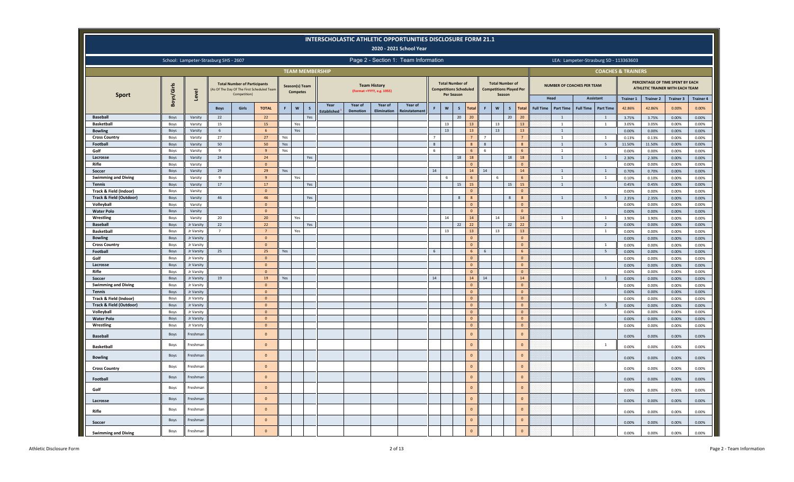|                                                   |                     |                                       |                      |                                                     |                                           |     |                                   |              |                        |                            |                                                   | <b>INTERSCHOLASTIC ATHLETIC OPPORTUNITIES DISCLOSURE FORM 21.1</b><br>2020 - 2021 School Year |                |                           |                                                         |                              |                |                                                                    |                      |                  |                                           |                  |                                        |                               |                  |                                                                                  |                  |
|---------------------------------------------------|---------------------|---------------------------------------|----------------------|-----------------------------------------------------|-------------------------------------------|-----|-----------------------------------|--------------|------------------------|----------------------------|---------------------------------------------------|-----------------------------------------------------------------------------------------------|----------------|---------------------------|---------------------------------------------------------|------------------------------|----------------|--------------------------------------------------------------------|----------------------|------------------|-------------------------------------------|------------------|----------------------------------------|-------------------------------|------------------|----------------------------------------------------------------------------------|------------------|
|                                                   |                     | School: Lampeter-Strasburg SHS - 2607 |                      |                                                     |                                           |     |                                   |              |                        |                            |                                                   | Page 2 - Section 1: Team Information                                                          |                |                           |                                                         |                              |                |                                                                    |                      |                  |                                           |                  | LEA: Lampeter-Strasburg SD - 113363603 |                               |                  |                                                                                  |                  |
|                                                   |                     |                                       |                      |                                                     |                                           |     |                                   |              | <b>TEAM MEMBERSHIP</b> |                            |                                                   |                                                                                               |                |                           |                                                         |                              |                |                                                                    |                      |                  |                                           |                  |                                        | <b>COACHES &amp; TRAINERS</b> |                  |                                                                                  |                  |
| <b>Sport</b>                                      | Boys/Girls          | Level                                 |                      | <b>Total Number of Participants</b><br>Competition) | As Of The Day Of The First Scheduled Team |     | Season(s) Team<br><b>Competes</b> |              |                        |                            | <b>Team History</b><br>(Format = YYYY, e.g. 1955) |                                                                                               |                | Per Season                | <b>Total Number of</b><br><b>Competitions Scheduled</b> |                              |                | <b>Total Number of</b><br><b>Competitions Played Per</b><br>Season |                      |                  | <b>NUMBER OF COACHES PER TEAM</b><br>Head |                  | <b>Assistant</b>                       | <b>Trainer 1</b>              | <b>Trainer 2</b> | PERCENTAGE OF TIME SPENT BY EACH<br>ATHLETIC TRAINER WITH EACH TEAM<br>Trainer 3 | <b>Trainer 4</b> |
|                                                   |                     |                                       | <b>Boys</b>          | Girls                                               | <b>TOTAL</b>                              | F   | $\boldsymbol{\mathsf{w}}$         | $\mathbf{S}$ | Year<br>Established    | Year of<br><b>Demotion</b> | Year of<br>Elimination                            | Year of<br>einstatemen                                                                        | F              | $\boldsymbol{\mathsf{w}}$ | $\mathsf{s}$                                            | <b>Total</b>                 | F              | $\boldsymbol{\mathsf{w}}$<br>$\mathsf{s}$                          | Total                | <b>Full Time</b> | <b>Part Time</b>                          | <b>Full Time</b> | <b>Part Time</b>                       | 42.86%                        | 42.86%           | 0.00%                                                                            | 0.00%            |
| <b>Baseball</b>                                   | Boys                | Varsity                               | 22                   |                                                     | 22                                        |     |                                   | Yes          |                        |                            |                                                   |                                                                                               |                |                           | 20                                                      | 20                           |                | 20                                                                 | 20                   |                  | 1                                         |                  | 1                                      | 3.75%                         | 3.75%            | 0.00%                                                                            | 0.00%            |
| <b>Basketball</b>                                 | Boys                | Varsity                               | 15                   |                                                     | 15                                        |     | Yes                               |              |                        |                            |                                                   |                                                                                               |                | 13                        |                                                         | 13                           |                | 13                                                                 | 13                   |                  | <sup>1</sup>                              |                  | $\mathbf{1}$                           | 3.05%                         | 3.05%            | 0.00%                                                                            | 0.00%            |
| <b>Bowling</b>                                    | Boys                | Varsity                               | 6                    |                                                     | $6 \overline{6}$                          |     | Yes                               |              |                        |                            |                                                   |                                                                                               |                | 13                        |                                                         | 13                           |                | 13                                                                 | 13                   |                  | $\mathbf{1}$                              |                  |                                        | 0.00%                         | 0.00%            | 0.00%                                                                            | $0.00\%$         |
| <b>Cross Country</b>                              | Boys                | Varsity                               | 27                   |                                                     | 27                                        | Yes |                                   |              |                        |                            |                                                   |                                                                                               | $\overline{7}$ |                           |                                                         | $\overline{7}$               | $\overline{7}$ |                                                                    | $7\overline{ }$      |                  | $\overline{1}$                            |                  | $\mathbf{1}$                           | 0.13%                         | 0.13%            | 0.00%                                                                            | 0.00%            |
| Football                                          | Boys                | Varsity                               | 50                   |                                                     | 50                                        | Yes |                                   |              |                        |                            |                                                   |                                                                                               | 8              |                           |                                                         | 8                            | 8              |                                                                    | $\mathbf{8}$         |                  | $\mathbf{1}$                              |                  | 5                                      | 11.50%                        | 11.50%           | 0.00%                                                                            | 0.00%            |
| Golf<br>Lacrosse                                  | Boys<br>Boys        | Varsity<br>Varsity                    | 9<br>24              |                                                     | $\overline{9}$<br>$24$                    | Yes |                                   | Yes          |                        |                            |                                                   |                                                                                               | 6              |                           | 18                                                      | 18                           | 6              | 18                                                                 | 6<br>18              |                  | $\mathbf{1}$<br>$\mathbf{1}$              |                  | 1                                      | 0.00%<br>2.30%                | 0.00%<br>2.30%   | 0.00%<br>0.00%                                                                   | 0.00%<br>0.00%   |
| Rifle                                             | Boys                | Varsity                               |                      |                                                     | $\overline{0}$                            |     |                                   |              |                        |                            |                                                   |                                                                                               |                |                           |                                                         | $\mathbf{0}$                 |                |                                                                    | $\Omega$             |                  |                                           |                  |                                        | 0.00%                         | 0.00%            | 0.00%                                                                            | 0.00%            |
| Soccer                                            | Boys                | Varsity                               | 29                   |                                                     | 29                                        | Yes |                                   |              |                        |                            |                                                   |                                                                                               | 14             |                           |                                                         | 14                           | 14             |                                                                    | 14                   |                  | $\overline{1}$                            |                  | $\overline{1}$                         | 0.70%                         | 0.70%            | 0.00%                                                                            | 0.00%            |
| <b>Swimming and Diving</b>                        | Boys                | Varsity                               | -9                   |                                                     | $\mathbf{q}$                              |     | Yes                               |              |                        |                            |                                                   |                                                                                               |                | 6                         |                                                         | 6                            |                | -6                                                                 | 6                    |                  | 1                                         |                  | <sup>1</sup>                           | 0.10%                         | 0.10%            | 0.00%                                                                            | 0.00%            |
| <b>Tennis</b>                                     | Boys                | Varsity                               | 17                   |                                                     | 17                                        |     |                                   | Yes          |                        |                            |                                                   |                                                                                               |                |                           | 15                                                      | 15                           |                | 15                                                                 | 15                   |                  | $\mathbf{1}$                              |                  |                                        | 0.45%                         | 0.45%            | 0.00%                                                                            | 0.00%            |
| Track & Field (Indoor)                            | Boys                | Varsity                               |                      |                                                     | $\mathbf{0}$                              |     |                                   |              |                        |                            |                                                   |                                                                                               |                |                           |                                                         | $\Omega$                     |                |                                                                    | $\Omega$             |                  |                                           |                  |                                        | 0.00%                         | 0.00%            | 0.00%                                                                            | 0.00%            |
| <b>Track &amp; Field (Outdoor)</b>                | Boys                | Varsity                               | 46                   |                                                     | 46                                        |     |                                   | Yes          |                        |                            |                                                   |                                                                                               |                |                           | 8                                                       | $\mathbf{g}$                 |                | 8                                                                  | $\mathbf{8}$         |                  | $\overline{1}$                            |                  | 5                                      | 2.35%                         | 2.35%            | 0.00%                                                                            | 0.00%            |
| Volleyball                                        | Boys                | Varsity                               |                      |                                                     | $\overline{0}$                            |     |                                   |              |                        |                            |                                                   |                                                                                               |                |                           |                                                         | $\mathbf{0}$                 |                |                                                                    | $\overline{0}$       |                  |                                           |                  |                                        | 0.00%                         | 0.00%            | 0.00%                                                                            | 0.00%            |
| <b>Water Polo</b>                                 | Boys                | Varsity                               |                      |                                                     | $\mathbf{0}$                              |     |                                   |              |                        |                            |                                                   |                                                                                               |                |                           |                                                         | $\Omega$                     |                |                                                                    | $\circ$              |                  |                                           |                  |                                        | 0.00%                         | 0.00%            | 0.00%                                                                            | 0.00%            |
| Wrestling                                         | Boys                | Varsity                               | 20                   |                                                     | 20                                        |     | Yes                               |              |                        |                            |                                                   |                                                                                               |                | 14                        |                                                         | 14                           |                | 14                                                                 | $14\,$               |                  | 1                                         |                  | 1                                      | 3.90%                         | 3.90%            | 0.00%                                                                            | 0.00%            |
| <b>Baseball</b><br><b>Basketball</b>              | Boys<br>Boys        | Jr Varsity<br>Jr Varsity              | 22<br>$\overline{7}$ |                                                     | 22<br>$\overline{7}$                      |     | Yes                               | Yes          |                        |                            |                                                   |                                                                                               |                | 13                        | 22                                                      | 22<br>13                     |                | 22<br>13                                                           | 22<br>13             |                  |                                           |                  | $\overline{2}$<br>$\mathbf{1}$         | 0.00%<br>0.00%                | 0.00%<br>0.00%   | 0.00%<br>0.00%                                                                   | 0.00%<br>0.00%   |
| <b>Bowling</b>                                    | Boys                | Jr Varsity                            |                      |                                                     | $\circ$                                   |     |                                   |              |                        |                            |                                                   |                                                                                               |                |                           |                                                         | $\mathbf 0$                  |                |                                                                    | $\Omega$             |                  |                                           |                  |                                        | 0.00%                         | 0.00%            | 0.00%                                                                            | 0.00%            |
| <b>Cross Country</b>                              | Boys                | Jr Varsity                            |                      |                                                     | $\mathbf 0$                               |     |                                   |              |                        |                            |                                                   |                                                                                               |                |                           |                                                         | $\mathbf 0$                  |                |                                                                    | $\circ$              |                  |                                           |                  | $\overline{1}$                         | 0.00%                         | 0.00%            | 0.00%                                                                            | 0.00%            |
| Football                                          | Boys                | Jr Varsity                            | 25                   |                                                     | 25                                        | Yes |                                   |              |                        |                            |                                                   |                                                                                               | 6              |                           |                                                         | 6                            | 6              |                                                                    | 6                    |                  |                                           |                  | 5                                      | 0.00%                         | 0.00%            | 0.00%                                                                            | 0.00%            |
| Golf                                              | Boys                | Jr Varsity                            |                      |                                                     | $\Omega$                                  |     |                                   |              |                        |                            |                                                   |                                                                                               |                |                           |                                                         | $\mathbf 0$                  |                |                                                                    | $\Omega$             |                  |                                           |                  |                                        | 0.00%                         | 0.00%            | 0.00%                                                                            | 0.00%            |
| Lacrosse                                          | Boys                | Jr Varsity                            |                      |                                                     | $\Omega$                                  |     |                                   |              |                        |                            |                                                   |                                                                                               |                |                           |                                                         | $\mathbf 0$                  |                |                                                                    | $\Omega$             |                  |                                           |                  |                                        | 0.00%                         | 0.00%            | 0.00%                                                                            | 0.00%            |
| Rifle                                             | Boys                | Jr Varsity                            |                      |                                                     | $\Omega$                                  |     |                                   |              |                        |                            |                                                   |                                                                                               |                |                           |                                                         | $\Omega$                     |                |                                                                    | $\mathbf{0}$         |                  |                                           |                  |                                        | 0.00%                         | 0.00%            | 0.00%                                                                            | 0.00%            |
| Soccer                                            | Boys                | Jr Varsity                            | 19                   |                                                     | 19                                        | Yes |                                   |              |                        |                            |                                                   |                                                                                               | 14             |                           |                                                         | 14                           | 14             |                                                                    | 14                   |                  |                                           |                  | $\mathbf{1}$                           | 0.00%                         | 0.00%            | 0.00%                                                                            | $0.00\%$         |
| <b>Swimming and Diving</b>                        | Boys                | Jr Varsity                            |                      |                                                     | $\overline{0}$                            |     |                                   |              |                        |                            |                                                   |                                                                                               |                |                           |                                                         | $\overline{0}$               |                |                                                                    | $\circ$              |                  |                                           |                  |                                        | 0.00%                         | 0.00%            | 0.00%                                                                            | 0.00%            |
| <b>Tennis</b>                                     | Boys                | Jr Varsity                            |                      |                                                     | $\mathbf{0}$                              |     |                                   |              |                        |                            |                                                   |                                                                                               |                |                           |                                                         | $\mathbf 0$                  |                |                                                                    | $\circ$              |                  |                                           |                  |                                        | 0.00%                         | 0.00%            | 0.00%                                                                            | 0.00%            |
| Track & Field (Indoor)<br>Track & Field (Outdoor) | Boys<br>Boys        | Jr Varsity<br>Jr Varsity              |                      |                                                     | $\circ$<br>$\mathbf{0}$                   |     |                                   |              |                        |                            |                                                   |                                                                                               |                |                           |                                                         | $\mathbf{0}$<br>$\mathbf{0}$ |                |                                                                    | $\circ$<br>$\circ$   |                  |                                           |                  | 5                                      | 0.00%                         | 0.00%            | 0.00%                                                                            | 0.00%            |
| Volleyball                                        | Boys                | Jr Varsity                            |                      |                                                     | $\overline{0}$                            |     |                                   |              |                        |                            |                                                   |                                                                                               |                |                           |                                                         | $\mathbf 0$                  |                |                                                                    | $\overline{0}$       |                  |                                           |                  |                                        | 0.00%<br>0.00%                | 0.00%<br>0.00%   | 0.00%<br>0.00%                                                                   | 0.00%<br>0.00%   |
| <b>Water Polo</b>                                 | Boys                | Jr Varsity                            |                      |                                                     | $\mathbf{0}$                              |     |                                   |              |                        |                            |                                                   |                                                                                               |                |                           |                                                         | $\mathbf 0$                  |                |                                                                    | $\Omega$             |                  |                                           |                  |                                        | 0.00%                         | 0.00%            | 0.00%                                                                            | 0.00%            |
| Wrestling                                         | Boys                | Jr Varsity                            |                      |                                                     | $\circ$                                   |     |                                   |              |                        |                            |                                                   |                                                                                               |                |                           |                                                         | $\mathbf{0}$                 |                |                                                                    | $\overline{0}$       |                  |                                           |                  |                                        | 0.00%                         | 0.00%            | 0.00%                                                                            | 0.00%            |
| <b>Baseball</b>                                   | Boys                | Freshman                              |                      |                                                     | $\mathbf{0}$                              |     |                                   |              |                        |                            |                                                   |                                                                                               |                |                           |                                                         | $\mathbf 0$                  |                |                                                                    | $\circ$              |                  |                                           |                  |                                        | 0.00%                         | 0.00%            | 0.00%                                                                            | 0.00%            |
| Basketball                                        | Boys                | Freshman                              |                      |                                                     | $\mathbf{0}$                              |     |                                   |              |                        |                            |                                                   |                                                                                               |                |                           |                                                         | $\mathbf 0$                  |                |                                                                    | $\circ$              |                  |                                           |                  | $\mathbf{1}$                           | 0.00%                         | 0.00%            | 0.00%                                                                            | 0.00%            |
| <b>Bowling</b>                                    | Boys                | Freshman                              |                      |                                                     | $\overline{0}$                            |     |                                   |              |                        |                            |                                                   |                                                                                               |                |                           |                                                         | $\mathbf 0$                  |                |                                                                    | $\mathbf{0}$         |                  |                                           |                  |                                        | 0.00%                         | 0.00%            | 0.00%                                                                            | 0.00%            |
| <b>Cross Country</b>                              | Boys                | Freshman                              |                      |                                                     | $\Omega$                                  |     |                                   |              |                        |                            |                                                   |                                                                                               |                |                           |                                                         | $\Omega$                     |                |                                                                    | $\Omega$             |                  |                                           |                  |                                        | 0.00%                         | 0.00%            | 0.00%                                                                            | 0.00%            |
| Football                                          | Boys                | Freshman                              |                      |                                                     | $\overline{0}$                            |     |                                   |              |                        |                            |                                                   |                                                                                               |                |                           |                                                         | $\mathbf 0$                  |                |                                                                    | $\Omega$             |                  |                                           |                  |                                        | 0.00%                         | 0.00%            | 0.00%                                                                            | 0.00%            |
| Golf                                              | Boys                | Freshman                              |                      |                                                     | $\overline{0}$                            |     |                                   |              |                        |                            |                                                   |                                                                                               |                |                           |                                                         | $\mathbf{0}$                 |                |                                                                    | $\Omega$             |                  |                                           |                  |                                        | 0.00%                         | 0.00%            | 0.00%                                                                            | 0.00%            |
| Lacrosse                                          | Boys                | Freshman                              |                      |                                                     | $\overline{0}$                            |     |                                   |              |                        |                            |                                                   |                                                                                               |                |                           |                                                         | $\circ$                      |                |                                                                    | $\Omega$             |                  |                                           |                  |                                        | 0.00%                         | 0.00%            | 0.00%                                                                            | 0.00%            |
| Rifle                                             | Boys<br><b>Boys</b> | Freshman<br>Freshmar                  |                      |                                                     | $\Omega$<br>$\Omega$                      |     |                                   |              |                        |                            |                                                   |                                                                                               |                |                           |                                                         | $\Omega$<br>$\Omega$         |                |                                                                    | $\Omega$<br>$\Omega$ |                  |                                           |                  |                                        | 0.00%                         | 0.00%            | 0.00%                                                                            | 0.00%            |
| Soccer                                            | Boys                | Freshman                              |                      |                                                     | $\Omega$                                  |     |                                   |              |                        |                            |                                                   |                                                                                               |                |                           |                                                         | $\Omega$                     |                |                                                                    | $\Omega$             |                  |                                           |                  |                                        | 0.00%                         | 0.00%            | 0.00%                                                                            | 0.00%            |
| <b>Swimming and Diving</b>                        |                     |                                       |                      |                                                     |                                           |     |                                   |              |                        |                            |                                                   |                                                                                               |                |                           |                                                         |                              |                |                                                                    |                      |                  |                                           |                  |                                        | 0.00%                         | 0.00%            | 0.00%                                                                            | 0.00%            |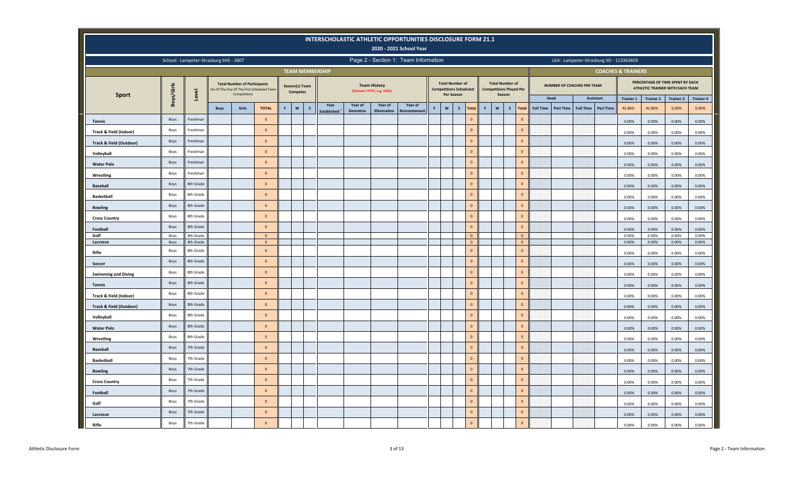|                            |            |                                       |             |                                                                                                  |                |    |                                   |   |                          |                 |                                                  | INTERSCHOLASTIC ATHLETIC OPPORTUNITIES DISCLOSURE FORM 21.1<br>2020 - 2021 School Year |                                             |                               |   |                                                                    |                   |                  |                  |                                   |                                        |                               |                  |                                                                            |                  |
|----------------------------|------------|---------------------------------------|-------------|--------------------------------------------------------------------------------------------------|----------------|----|-----------------------------------|---|--------------------------|-----------------|--------------------------------------------------|----------------------------------------------------------------------------------------|---------------------------------------------|-------------------------------|---|--------------------------------------------------------------------|-------------------|------------------|------------------|-----------------------------------|----------------------------------------|-------------------------------|------------------|----------------------------------------------------------------------------|------------------|
|                            |            | School: Lampeter-Strasburg SHS - 2607 |             |                                                                                                  |                |    |                                   |   |                          |                 |                                                  | Page 2 - Section 1: Team Information                                                   |                                             |                               |   |                                                                    |                   |                  |                  |                                   | LEA: Lampeter-Strasburg SD - 113363603 |                               |                  |                                                                            |                  |
|                            |            |                                       |             |                                                                                                  |                |    |                                   |   | <b>TEAM MEMBERSHIP</b>   |                 |                                                  |                                                                                        |                                             |                               |   |                                                                    |                   |                  |                  |                                   |                                        | <b>COACHES &amp; TRAINERS</b> |                  |                                                                            |                  |
| <b>Sport</b>               | Boys/Girls | Level                                 |             | <b>Total Number of Participants</b><br>As Of The Day Of The First Scheduled Team<br>Competition) |                |    | Season(s) Team<br><b>Competes</b> |   |                          |                 | <b>Team History</b><br>(Format =YYYY, e.g. 1955) |                                                                                        | <b>Total Number of</b><br><b>Per Season</b> | <b>Competitions Scheduled</b> |   | <b>Total Number of</b><br><b>Competitions Played Per</b><br>Season |                   |                  |                  | <b>NUMBER OF COACHES PER TEAM</b> |                                        |                               |                  | PERCENTAGE OF TIME SPENT BY EACH<br><b>ATHLETIC TRAINER WITH EACH TEAM</b> |                  |
|                            |            |                                       |             |                                                                                                  |                |    |                                   |   | Year                     | Year of         | Year of                                          | Year of                                                                                |                                             |                               |   |                                                                    |                   |                  | Head             |                                   | Assistant                              | <b>Trainer 1</b>              | <b>Trainer 2</b> | <b>Trainer 3</b>                                                           | <b>Trainer 4</b> |
|                            |            |                                       | <b>Boys</b> | Girls                                                                                            | <b>TOTAL</b>   | F. | W                                 | s | Established <sup>1</sup> | <b>Demotion</b> | Elimination                                      | <b>teinstatement</b>                                                                   | $\boldsymbol{\mathsf{w}}$                   | $\mathsf{s}$<br><b>Total</b>  | F | W                                                                  | S<br><b>Total</b> | <b>Full Time</b> | <b>Part Time</b> | <b>Full Time</b>                  | <b>Part Time</b>                       | 42.86%                        | 42.86%           | 0.00%                                                                      | 0.00%            |
| <b>Tennis</b>              | Boys       | Freshman                              |             |                                                                                                  | $\mathbf{0}$   |    |                                   |   |                          |                 |                                                  |                                                                                        |                                             | $\mathbf{0}$                  |   |                                                                    | $\circ$           |                  |                  |                                   |                                        | 0.00%                         | 0.00%            | 0.00%                                                                      | 0.00%            |
| Track & Field (Indoor)     | Boys       | Freshmar                              |             |                                                                                                  | $\mathbf{0}$   |    |                                   |   |                          |                 |                                                  |                                                                                        |                                             | $\mathbf{0}$                  |   |                                                                    | $\mathbf{0}$      |                  |                  |                                   |                                        | 0.00%                         | 0.00%            | 0.00%                                                                      | 0.00%            |
| Track & Field (Outdoor)    | Boys       | Freshmar                              |             |                                                                                                  | $\mathbf 0$    |    |                                   |   |                          |                 |                                                  |                                                                                        |                                             | $\mathbf{0}$                  |   |                                                                    | $\mathbf{0}$      |                  |                  |                                   |                                        | 0.00%                         | 0.00%            | 0.00%                                                                      | 0.00%            |
| Volleyball                 | Boys       | Freshman                              |             |                                                                                                  | $\mathbf 0$    |    |                                   |   |                          |                 |                                                  |                                                                                        |                                             | $\mathbf 0$                   |   |                                                                    | $\mathbf{0}$      |                  |                  |                                   |                                        | 0.00%                         | 0.00%            | 0.00%                                                                      | 0.00%            |
| <b>Water Polo</b>          | Boys       | Freshman                              |             |                                                                                                  | $\mathbf 0$    |    |                                   |   |                          |                 |                                                  |                                                                                        |                                             | $\mathbf{0}$                  |   |                                                                    | $\mathbf{0}$      |                  |                  |                                   |                                        | 0.00%                         | 0.00%            | 0.00%                                                                      | 0.00%            |
| Wrestling                  | Boys       | Freshman                              |             |                                                                                                  | $\mathbf 0$    |    |                                   |   |                          |                 |                                                  |                                                                                        |                                             | $\Omega$                      |   |                                                                    | $\Omega$          |                  |                  |                                   |                                        | 0.00%                         | 0.00%            | 0.00%                                                                      | 0.00%            |
| <b>Baseball</b>            | Boys       | 8th Grade                             |             |                                                                                                  | $\overline{0}$ |    |                                   |   |                          |                 |                                                  |                                                                                        |                                             | $\Omega$                      |   |                                                                    | $\Omega$          |                  |                  |                                   |                                        | 0.00%                         | 0.00%            | 0.00%                                                                      | 0.00%            |
| <b>Basketball</b>          | Boys       | 8th Grade                             |             |                                                                                                  | $\Omega$       |    |                                   |   |                          |                 |                                                  |                                                                                        |                                             | $\mathbf 0$                   |   |                                                                    | $\mathbf{0}$      |                  |                  |                                   |                                        | 0.00%                         | 0.00%            | 0.00%                                                                      | 0.00%            |
| <b>Bowling</b>             | Boys       | 8th Grade                             |             |                                                                                                  | $\Omega$       |    |                                   |   |                          |                 |                                                  |                                                                                        |                                             | $\mathbf{0}$                  |   |                                                                    | $\circ$           |                  |                  |                                   |                                        | 0.00%                         | 0.00%            | 0.00%                                                                      |                  |
|                            | Boys       | 8th Grade                             |             |                                                                                                  | $\Omega$       |    |                                   |   |                          |                 |                                                  |                                                                                        |                                             | $\Omega$                      |   |                                                                    | $\circ$           |                  |                  |                                   |                                        |                               |                  |                                                                            | 0.00%            |
| <b>Cross Country</b>       | Boys       | 8th Grade                             |             |                                                                                                  | $\Omega$       |    |                                   |   |                          |                 |                                                  |                                                                                        |                                             | $\mathbf 0$                   |   |                                                                    | $\mathbf{0}$      |                  |                  |                                   |                                        | 0.00%                         | 0.00%            | 0.00%                                                                      | 0.00%            |
| Football<br>Golf           | Boys       | 8th Grade                             |             |                                                                                                  | $\mathbf{0}$   |    |                                   |   |                          |                 |                                                  |                                                                                        |                                             | $\mathbf 0$                   |   |                                                                    | $\mathbf{0}$      |                  |                  |                                   |                                        | 0.00%<br>0.00%                | 0.00%<br>0.00%   | 0.00%<br>0.00%                                                             | 0.00%<br>0.00%   |
| Lacrosse                   | Boys       | 8th Grade                             |             |                                                                                                  | $\overline{0}$ |    |                                   |   |                          |                 |                                                  |                                                                                        |                                             | $\mathbf{0}$                  |   |                                                                    | $\mathbf 0$       |                  |                  |                                   |                                        | 0.00%                         | 0.00%            | 0.00%                                                                      | 0.00%            |
| Rifle                      | Boys       | 8th Grade                             |             |                                                                                                  | $\Omega$       |    |                                   |   |                          |                 |                                                  |                                                                                        |                                             | $\mathbf{0}$                  |   |                                                                    | $\mathbf{0}$      |                  |                  |                                   |                                        | 0.00%                         | 0.00%            | 0.00%                                                                      | 0.00%            |
| Soccer                     | Boys       | 8th Grade                             |             |                                                                                                  | $\Omega$       |    |                                   |   |                          |                 |                                                  |                                                                                        |                                             | $\mathbf{0}$                  |   |                                                                    | $\mathbf{0}$      |                  |                  |                                   |                                        | 0.00%                         | 0.00%            | 0.00%                                                                      | 0.00%            |
| <b>Swimming and Diving</b> | Boys       | 8th Grade                             |             |                                                                                                  | $\Omega$       |    |                                   |   |                          |                 |                                                  |                                                                                        |                                             | $\mathbf{0}$                  |   |                                                                    | $\mathbf{0}$      |                  |                  |                                   |                                        | 0.00%                         | 0.00%            | 0.00%                                                                      | 0.00%            |
| <b>Tennis</b>              | Boys       | 8th Grade                             |             |                                                                                                  | $\mathbf{0}$   |    |                                   |   |                          |                 |                                                  |                                                                                        |                                             | $\mathbf{0}$                  |   |                                                                    | $\mathbf{0}$      |                  |                  |                                   |                                        | 0.00%                         | 0.00%            | 0.00%                                                                      | 0.00%            |
| Track & Field (Indoor)     | Boys       | 8th Grade                             |             |                                                                                                  | $\mathbf{0}$   |    |                                   |   |                          |                 |                                                  |                                                                                        |                                             | $\mathbf{0}$                  |   |                                                                    | $\mathbf{0}$      |                  |                  |                                   |                                        | 0.00%                         | 0.00%            | 0.00%                                                                      | 0.00%            |
| Track & Field (Outdoor)    | Boys       | 8th Grade                             |             |                                                                                                  | $\Omega$       |    |                                   |   |                          |                 |                                                  |                                                                                        |                                             | $\mathbf{0}$                  |   |                                                                    | $\mathbf{0}$      |                  |                  |                                   |                                        | 0.00%                         | 0.00%            | 0.00%                                                                      | 0.00%            |
| Volleyball                 | Boys       | 8th Grade                             |             |                                                                                                  | $\overline{0}$ |    |                                   |   |                          |                 |                                                  |                                                                                        |                                             | $\Omega$                      |   |                                                                    | $\Omega$          |                  |                  |                                   |                                        | 0.00%                         | 0.00%            | 0.00%                                                                      | 0.00%            |
| <b>Water Polo</b>          | Boys       | 8th Grade                             |             |                                                                                                  | $\overline{0}$ |    |                                   |   |                          |                 |                                                  |                                                                                        |                                             | $\mathbf{0}$                  |   |                                                                    | $\overline{0}$    |                  |                  |                                   |                                        | 0.00%                         | 0.00%            | 0.00%                                                                      | 0.00%            |
| Wrestling                  | Boys       | 8th Grade                             |             |                                                                                                  | $\Omega$       |    |                                   |   |                          |                 |                                                  |                                                                                        |                                             | $\mathbf{0}$                  |   |                                                                    | $\mathbf 0$       |                  |                  |                                   |                                        | 0.00%                         | 0.00%            | 0.00%                                                                      | 0.00%            |
| <b>Baseball</b>            | Boys       | 7th Grade                             |             |                                                                                                  | $\mathbf{0}$   |    |                                   |   |                          |                 |                                                  |                                                                                        |                                             | $\mathbf{0}$                  |   |                                                                    | $\mathbf 0$       |                  |                  |                                   |                                        | 0.00%                         | 0.00%            | 0.00%                                                                      | 0.00%            |
| <b>Basketball</b>          | Boys       | 7th Grade                             |             |                                                                                                  | $\overline{0}$ |    |                                   |   |                          |                 |                                                  |                                                                                        |                                             | $\mathbf{0}$                  |   |                                                                    | $\mathbf{0}$      |                  |                  |                                   |                                        | 0.00%                         | 0.00%            | 0.00%                                                                      | 0.00%            |
| <b>Bowling</b>             | Boys       | 7th Grade                             |             |                                                                                                  | $\overline{0}$ |    |                                   |   |                          |                 |                                                  |                                                                                        |                                             | $\mathbf{0}$                  |   |                                                                    | $\mathbf 0$       |                  |                  |                                   |                                        | 0.00%                         | 0.00%            | 0.00%                                                                      | 0.00%            |
| <b>Cross Country</b>       | Boys       | 7th Grade                             |             |                                                                                                  | $\overline{0}$ |    |                                   |   |                          |                 |                                                  |                                                                                        |                                             | $\mathbf{0}$                  |   |                                                                    | $\mathbf{0}$      |                  |                  |                                   |                                        | 0.00%                         | 0.00%            | 0.00%                                                                      | 0.00%            |
| Football                   | Boys       | 7th Grade                             |             |                                                                                                  | $\overline{0}$ |    |                                   |   |                          |                 |                                                  |                                                                                        |                                             | $\mathbf{0}$                  |   |                                                                    | $\mathbf 0$       |                  |                  |                                   |                                        | 0.00%                         | 0.00%            | 0.00%                                                                      | 0.00%            |
| Golf                       | Boys       | 7th Grade                             |             |                                                                                                  | $\mathbf{0}$   |    |                                   |   |                          |                 |                                                  |                                                                                        |                                             | $\Omega$                      |   |                                                                    | $\Omega$          |                  |                  |                                   |                                        |                               |                  |                                                                            |                  |
|                            | Boys       | 7th Grade                             |             |                                                                                                  | $\Omega$       |    |                                   |   |                          |                 |                                                  |                                                                                        |                                             | $\Omega$                      |   |                                                                    | $\Omega$          |                  |                  |                                   |                                        | 0.00%                         | 0.00%            | 0.00%                                                                      | 0.00%            |
| Lacrosse<br>Rifle          | Boys       | 7th Grade                             |             |                                                                                                  | $\Omega$       |    |                                   |   |                          |                 |                                                  |                                                                                        |                                             | $\mathbf 0$                   |   |                                                                    | $\mathbf 0$       |                  |                  |                                   |                                        | 0.00%<br>0.00%                | 0.00%<br>0.00%   | 0.00%<br>0.00%                                                             | 0.00%<br>0.00%   |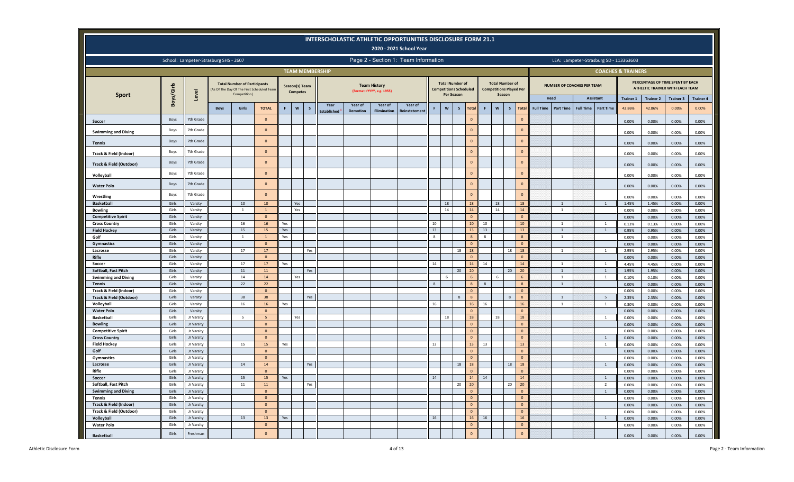|                                                   |                |                                       |             |                                                     |                                           |                                                                |                                   |     |                   |                 |                                                  | <b>INTERSCHOLASTIC ATHLETIC OPPORTUNITIES DISCLOSURE FORM 21.1</b><br>2020 - 2021 School Year |              |                                             |                               |                                |                                  |                    |                  |                                   |                  |                                        |                               |                  |                                                                            |                   |
|---------------------------------------------------|----------------|---------------------------------------|-------------|-----------------------------------------------------|-------------------------------------------|----------------------------------------------------------------|-----------------------------------|-----|-------------------|-----------------|--------------------------------------------------|-----------------------------------------------------------------------------------------------|--------------|---------------------------------------------|-------------------------------|--------------------------------|----------------------------------|--------------------|------------------|-----------------------------------|------------------|----------------------------------------|-------------------------------|------------------|----------------------------------------------------------------------------|-------------------|
|                                                   |                | School: Lampeter-Strasburg SHS - 2607 |             |                                                     |                                           | Page 2 - Section 1: Team Information<br><b>TEAM MEMBERSHIP</b> |                                   |     |                   |                 |                                                  |                                                                                               |              |                                             |                               |                                |                                  |                    |                  |                                   |                  | LEA: Lampeter-Strasburg SD - 113363603 |                               |                  |                                                                            |                   |
|                                                   |                |                                       |             |                                                     |                                           |                                                                |                                   |     |                   |                 |                                                  |                                                                                               |              |                                             |                               |                                |                                  |                    |                  |                                   |                  |                                        | <b>COACHES &amp; TRAINERS</b> |                  |                                                                            |                   |
| <b>Sport</b>                                      | Boys/Girls     | Level                                 |             | <b>Total Number of Participants</b><br>Competition) | As Of The Day Of The First Scheduled Team |                                                                | Season(s) Team<br><b>Competes</b> |     |                   |                 | <b>Team History</b><br>(Format =YYYY, e.g. 1955) |                                                                                               |              | <b>Total Number of</b><br><b>Per Season</b> | <b>Competitions Scheduled</b> | <b>Competitions Played Per</b> | <b>Total Number of</b><br>Season |                    |                  | <b>NUMBER OF COACHES PER TEAM</b> |                  |                                        |                               |                  | PERCENTAGE OF TIME SPENT BY EACH<br><b>ATHLETIC TRAINER WITH EACH TEAM</b> |                   |
|                                                   |                |                                       |             |                                                     |                                           |                                                                |                                   |     | Year              | Year of         | Year of                                          | Year of                                                                                       |              |                                             |                               |                                |                                  |                    |                  | Head                              |                  | Assistant                              | <b>Trainer 1</b>              | <b>Trainer 2</b> | <b>Trainer 3</b>                                                           | <b>Trainer 4</b>  |
|                                                   |                |                                       | <b>Boys</b> | Girls                                               | <b>TOTAL</b>                              | F                                                              | $\boldsymbol{\mathsf{w}}$         | -S  | <b>Establishe</b> | <b>Demotion</b> | Elimination                                      | <b>deinstatemen</b>                                                                           | F.           | W                                           | $\mathsf{s}$<br><b>Total</b>  | F<br>$\mathsf{w}$              | S                                | Total              | <b>Full Time</b> | <b>Part Time</b>                  | <b>Full Time</b> | <b>Part Time</b>                       | 42.86%                        | 42.86%           | 0.00%                                                                      | 0.00%             |
| Soccer                                            | Boys           | 7th Grade                             |             |                                                     | $\overline{0}$                            |                                                                |                                   |     |                   |                 |                                                  |                                                                                               |              |                                             | $\mathbf{0}$                  |                                |                                  | $\Omega$           |                  |                                   |                  |                                        | 0.00%                         | 0.00%            | 0.00%                                                                      | 0.00%             |
| <b>Swimming and Diving</b>                        | Boys           | 7th Grade                             |             |                                                     | $\overline{0}$                            |                                                                |                                   |     |                   |                 |                                                  |                                                                                               |              |                                             | $\mathbf{0}$                  |                                |                                  | $\Omega$           |                  |                                   |                  |                                        | 0.00%                         | 0.00%            | 0.00%                                                                      | 0.00%             |
| <b>Tennis</b>                                     | <b>Boys</b>    | 7th Grade                             |             |                                                     | $\Omega$                                  |                                                                |                                   |     |                   |                 |                                                  |                                                                                               |              |                                             | $\mathbf{0}$                  |                                |                                  | $\Omega$           |                  |                                   |                  |                                        | 0.00%                         | 0.00%            | 0.00%                                                                      | 0.00%             |
| Track & Field (Indoor)                            | Boys           | 7th Grade                             |             |                                                     | $\Omega$                                  |                                                                |                                   |     |                   |                 |                                                  |                                                                                               |              |                                             | $\Omega$                      |                                |                                  | $\Omega$           |                  |                                   |                  |                                        | 0.00%                         | 0.00%            | 0.00%                                                                      | 0.00%             |
|                                                   | Boys           | 7th Grade                             |             |                                                     | $\mathbf{0}$                              |                                                                |                                   |     |                   |                 |                                                  |                                                                                               |              |                                             | $\mathbf{0}$                  |                                |                                  | $\Omega$           |                  |                                   |                  |                                        |                               |                  |                                                                            |                   |
| Track & Field (Outdoor)                           | Boys           | 7th Grade                             |             |                                                     | $\circ$                                   |                                                                |                                   |     |                   |                 |                                                  |                                                                                               |              |                                             | $\Omega$                      |                                |                                  | $\Omega$           |                  |                                   |                  |                                        | 0.00%                         | 0.00%            | 0.00%                                                                      | 0.00%             |
| Volleyball                                        |                |                                       |             |                                                     |                                           |                                                                |                                   |     |                   |                 |                                                  |                                                                                               |              |                                             | $\Omega$                      |                                |                                  | $\Omega$           |                  |                                   |                  |                                        | 0.00%                         | 0.00%            | 0.00%                                                                      | 0.00%             |
| <b>Water Polo</b>                                 | <b>Boys</b>    | 7th Grade                             |             |                                                     | $\mathbf{0}$                              |                                                                |                                   |     |                   |                 |                                                  |                                                                                               |              |                                             |                               |                                |                                  |                    |                  |                                   |                  |                                        | 0.00%                         | 0.00%            | 0.00%                                                                      | 0.00%             |
| Wrestling                                         | <b>Boys</b>    | 7th Grade                             |             |                                                     | $\mathbf{0}$                              |                                                                |                                   |     |                   |                 |                                                  |                                                                                               |              |                                             | $\Omega$                      |                                |                                  | $\Omega$           |                  |                                   |                  |                                        | 0.00%                         | 0.00%            | 0.00%                                                                      | 0.00%             |
| <b>Basketball</b>                                 | Girls          | Varsity                               |             | 10                                                  | 10 <sup>10</sup>                          |                                                                | Yes                               |     |                   |                 |                                                  |                                                                                               |              | 18                                          | 18                            | 18                             |                                  | 18                 |                  | $\overline{1}$                    |                  | $\mathbf{1}$                           | 1.45%                         | 1.45%            | 0.00%                                                                      | 0.00%             |
| <b>Bowling</b>                                    | Girls<br>Girls | Varsity<br>Varsity                    |             | 1                                                   | $\overline{0}$                            |                                                                | Yes                               |     |                   |                 |                                                  |                                                                                               |              | 14                                          | 14<br>$\overline{0}$          | 14                             |                                  | $14\,$<br>$\Omega$ |                  | 1                                 |                  |                                        | 0.00%                         | 0.00%            | 0.00%                                                                      | 0.00%             |
| <b>Competitive Spirit</b><br><b>Cross Country</b> | Girls          | Varsity                               |             | 16                                                  | 16                                        | Yes                                                            |                                   |     |                   |                 |                                                  |                                                                                               | 10           |                                             | 10 <sup>°</sup>               | 10                             |                                  | 10 <sup>°</sup>    |                  | $\mathbf{1}$                      |                  | -1                                     | 0.00%<br>0.13%                | 0.00%<br>0.13%   | 0.00%<br>0.00%                                                             | $0.00\%$<br>0.00% |
| <b>Field Hockey</b>                               | Girls          | Varsity                               |             | 15                                                  | 15                                        | Yes                                                            |                                   |     |                   |                 |                                                  |                                                                                               | 13           |                                             | 13 <sup>°</sup>               | 13                             |                                  | 13                 |                  | $\overline{1}$                    |                  | $\overline{1}$                         | 0.95%                         | 0.95%            | 0.00%                                                                      | 0.00%             |
| Golf                                              | Girls          | Varsity                               |             | <sup>1</sup>                                        | $\overline{1}$                            | Yes                                                            |                                   |     |                   |                 |                                                  |                                                                                               | 8            |                                             | $\mathbf{8}$                  | $\overline{8}$                 |                                  | $\mathbf{g}$       |                  | $\mathbf{1}$                      |                  |                                        | 0.00%                         | 0.00%            | 0.00%                                                                      | 0.00%             |
|                                                   | Girls          | Varsity                               |             |                                                     | $\overline{0}$                            |                                                                |                                   |     |                   |                 |                                                  |                                                                                               |              |                                             | $\overline{0}$                |                                |                                  | $\circ$            |                  |                                   |                  |                                        |                               |                  |                                                                            |                   |
| Gymnastics<br>Lacrosse                            | Girls          | Varsity                               |             | 17                                                  | $17$                                      |                                                                |                                   | Yes |                   |                 |                                                  |                                                                                               |              |                                             | 18<br>18                      |                                | 18                               | 18                 |                  | $\mathbf{1}$                      |                  | $\overline{1}$                         | 0.00%<br>2.95%                | 0.00%<br>2.95%   | 0.00%<br>0.00%                                                             | 0.00%<br>0.00%    |
| Rifle                                             | Girls          | Varsity                               |             |                                                     | $\mathbf{0}$                              |                                                                |                                   |     |                   |                 |                                                  |                                                                                               |              |                                             | $\mathbf{0}$                  |                                |                                  | $\Omega$           |                  |                                   |                  |                                        | 0.00%                         | 0.00%            | 0.00%                                                                      | 0.00%             |
| Soccer                                            | Girls          | Varsity                               |             | 17                                                  | 17                                        | Yes                                                            |                                   |     |                   |                 |                                                  |                                                                                               | 14           |                                             | 14                            | 14                             |                                  | 14                 |                  | 1                                 |                  | $\overline{1}$                         | 4.45%                         | 4.45%            | 0.00%                                                                      | 0.00%             |
| Softball, Fast Pitch                              | Girls          | Varsity                               |             | $11\,$                                              | 11                                        |                                                                |                                   | Yes |                   |                 |                                                  |                                                                                               |              |                                             | 20<br>20                      |                                | 20                               | 20                 |                  | $\mathbf{1}$                      |                  | 1                                      | 1.95%                         | 1.95%            | 0.00%                                                                      | 0.00%             |
| <b>Swimming and Diving</b>                        | Girls          | Varsity                               |             | $14\,$                                              | 14                                        |                                                                | Yes                               |     |                   |                 |                                                  |                                                                                               |              | 6                                           | $6 \overline{6}$              | 6                              |                                  |                    |                  | $\mathbf{1}$                      |                  |                                        | 0.10%                         | 0.10%            | 0.00%                                                                      | 0.00%             |
| <b>Tennis</b>                                     | Girls          | Varsity                               |             | 22                                                  | 22                                        |                                                                |                                   |     |                   |                 |                                                  |                                                                                               | $\mathbf{8}$ |                                             | 8                             | 8                              |                                  | $\mathbf{R}$       |                  | $\mathbf{1}$                      |                  |                                        | 0.00%                         | 0.00%            | 0.00%                                                                      | 0.00%             |
| Track & Field (Indoor)                            | Girls          | Varsity                               |             |                                                     | $\mathbf{0}$                              |                                                                |                                   |     |                   |                 |                                                  |                                                                                               |              |                                             | $\overline{0}$                |                                |                                  | $\Omega$           |                  |                                   |                  |                                        | 0.00%                         | 0.00%            | 0.00%                                                                      | 0.00%             |
| Track & Field (Outdoor)                           | Girls          | Varsity                               |             | 38                                                  | 38                                        |                                                                |                                   | Yes |                   |                 |                                                  |                                                                                               |              |                                             | $\overline{8}$<br>8           |                                | $\mathbf{g}$                     |                    |                  | $\mathbf{1}$                      |                  | 5                                      | 2.35%                         | 2.35%            | 0.00%                                                                      | $0.00\%$          |
| Volleyball                                        | Girls          | Varsity                               |             | 16                                                  | 16                                        | Yes                                                            |                                   |     |                   |                 |                                                  |                                                                                               | 16           |                                             | $16\phantom{.}$               | 16                             |                                  | 16                 |                  | $\overline{1}$                    |                  | $\overline{1}$                         | 0.30%                         | 0.30%            | 0.00%                                                                      | 0.00%             |
| <b>Water Polo</b>                                 | Girls          | Varsity                               |             |                                                     | $\mathbf{0}$                              |                                                                |                                   |     |                   |                 |                                                  |                                                                                               |              |                                             | $\mathbf{0}$                  |                                |                                  | $\Omega$           |                  |                                   |                  |                                        | 0.00%                         | 0.00%            | 0.00%                                                                      | 0.00%             |
| <b>Basketball</b>                                 | Girls          | Jr Varsity                            |             | $5\overline{)}$                                     | 5                                         |                                                                | Yes                               |     |                   |                 |                                                  |                                                                                               |              | 18                                          | 18                            | 18                             |                                  | 18                 |                  |                                   |                  | $\overline{1}$                         | 0.00%                         | 0.00%            | 0.00%                                                                      | 0.00%             |
| <b>Bowling</b>                                    | Girls          | Jr Varsity                            |             |                                                     | $\Omega$                                  |                                                                |                                   |     |                   |                 |                                                  |                                                                                               |              |                                             | $\mathbf{0}$                  |                                |                                  | $\Omega$           |                  |                                   |                  |                                        | 0.00%                         | 0.00%            | 0.00%                                                                      | 0.00%             |
| <b>Competitive Spirit</b>                         | Girls          | Jr Varsity                            |             |                                                     | $\circ$                                   |                                                                |                                   |     |                   |                 |                                                  |                                                                                               |              |                                             | $\overline{0}$                |                                |                                  | $\mathbf{0}$       |                  |                                   |                  |                                        | 0.00%                         | 0.00%            | 0.00%                                                                      | 0.00%             |
| <b>Cross Country</b>                              | Girls          | Jr Varsity                            |             |                                                     | $\mathbf{0}$                              |                                                                |                                   |     |                   |                 |                                                  |                                                                                               |              |                                             | $\mathbf{0}$                  |                                |                                  | $\circ$            |                  |                                   |                  | $\overline{1}$                         | 0.00%                         | 0.00%            | 0.00%                                                                      | 0.00%             |
| <b>Field Hockey</b>                               | Girls          | Jr Varsity                            |             | 15                                                  | 15                                        | Yes                                                            |                                   |     |                   |                 |                                                  |                                                                                               | 13           |                                             | 13                            | 13                             |                                  | 13                 |                  |                                   |                  | $\mathbf{1}$                           | 0.00%                         | 0.00%            | 0.00%                                                                      | 0.00%             |
| Golf                                              | Girls          | Jr Varsity                            |             |                                                     | $\mathbf{0}$                              |                                                                |                                   |     |                   |                 |                                                  |                                                                                               |              |                                             | $\mathbf{0}$                  |                                |                                  | $\overline{0}$     |                  |                                   |                  |                                        | 0.00%                         | 0.00%            | 0.00%                                                                      | 0.00%             |
| Gymnastics                                        | Girls          | Jr Varsity                            |             |                                                     | $\mathbf{0}$                              |                                                                |                                   |     |                   |                 |                                                  |                                                                                               |              |                                             | $\mathbf{0}$                  |                                |                                  | $\Omega$           |                  |                                   |                  |                                        | 0.00%                         | 0.00%            | 0.00%                                                                      | 0.00%             |
| Lacrosse                                          | Girls          | Jr Varsity                            |             | 14                                                  | 14                                        |                                                                |                                   | Yes |                   |                 |                                                  |                                                                                               |              |                                             | 18<br>18                      |                                | 18                               | 18                 |                  |                                   |                  | 1                                      | 0.00%                         | 0.00%            | 0.00%                                                                      | 0.00%             |
| Rifle                                             | Girls          | Jr Varsity                            |             |                                                     | $\Omega$                                  |                                                                |                                   |     |                   |                 |                                                  |                                                                                               |              |                                             | $\mathbf{0}$                  |                                |                                  | $\Omega$           |                  |                                   |                  |                                        | 0.00%                         | 0.00%            | 0.00%                                                                      | 0.00%             |
| Soccer                                            | Girls          | Jr Varsity                            |             | 15                                                  | 15                                        | Yes                                                            |                                   |     |                   |                 |                                                  |                                                                                               | 14           |                                             | 14                            | $14\,$                         |                                  | 14                 |                  |                                   |                  | $\overline{1}$                         | 0.00%                         | 0.00%            | 0.00%                                                                      | 0.00%             |
| Softball, Fast Pitch                              | Girls          | Jr Varsity                            |             | $11\,$                                              | ${\bf 11}$                                |                                                                |                                   | Yes |                   |                 |                                                  |                                                                                               |              |                                             | 20<br>20                      |                                | 20                               | 20 <sup>°</sup>    |                  |                                   |                  | $\overline{2}$                         | 0.00%                         | 0.00%            | 0.00%                                                                      | 0.00%             |
| <b>Swimming and Diving</b>                        | Girls          | Jr Varsity                            |             |                                                     | $\overline{0}$                            |                                                                |                                   |     |                   |                 |                                                  |                                                                                               |              |                                             | $\mathbf{0}$                  |                                |                                  | $\Omega$           |                  |                                   |                  | $\overline{1}$                         | 0.00%                         | 0.00%            | 0.00%                                                                      | 0.00%             |
| <b>Tennis</b>                                     | Girls          | Jr Varsity                            |             |                                                     | $\Omega$                                  |                                                                |                                   |     |                   |                 |                                                  |                                                                                               |              |                                             | $\Omega$                      |                                |                                  | $\Omega$           |                  |                                   |                  |                                        | 0.00%                         | 0.00%            | 0.00%                                                                      | 0.00%             |
| <b>Track &amp; Field (Indoor)</b>                 | Girls          | Jr Varsity                            |             |                                                     | $\overline{0}$                            |                                                                |                                   |     |                   |                 |                                                  |                                                                                               |              |                                             | $\circ$                       |                                |                                  | $\mathbf{0}$       |                  |                                   |                  |                                        | 0.00%                         | 0.00%            | 0.00%                                                                      | 0.00%             |
| Track & Field (Outdoor)                           | Girls          | Jr Varsity                            |             |                                                     | $\Omega$                                  |                                                                |                                   |     |                   |                 |                                                  |                                                                                               |              |                                             | $\Omega$                      |                                |                                  | $\Omega$           |                  |                                   |                  |                                        | 0.00%                         | 0.00%            | 0.00%                                                                      | 0.00%             |
| Volleyball<br><b>Water Polo</b>                   | Girls<br>Girls | Jr Varsity<br>Jr Varsity              |             | 13                                                  | 13<br>$\mathbf{0}$                        | Yes                                                            |                                   |     |                   |                 |                                                  |                                                                                               | 16           |                                             | 16<br>$\mathbf{0}$            | 16                             |                                  | 16<br>$\mathbf{0}$ |                  |                                   |                  | $\overline{1}$                         | 0.00%                         | 0.00%            | 0.00%                                                                      | 0.00%             |
|                                                   |                |                                       |             |                                                     |                                           |                                                                |                                   |     |                   |                 |                                                  |                                                                                               |              |                                             |                               |                                |                                  |                    |                  |                                   |                  |                                        | 0.00%                         | 0.00%            | 0.00%                                                                      | 0.00%             |
| <b>Basketball</b>                                 | Girls          | Freshman                              |             |                                                     | $\Omega$                                  |                                                                |                                   |     |                   |                 |                                                  |                                                                                               |              |                                             | $\mathbf{0}$                  |                                |                                  | $\mathbf{0}$       |                  |                                   |                  |                                        | 0.00%                         | $0.00\%$         | 0.00%                                                                      | 0.00%             |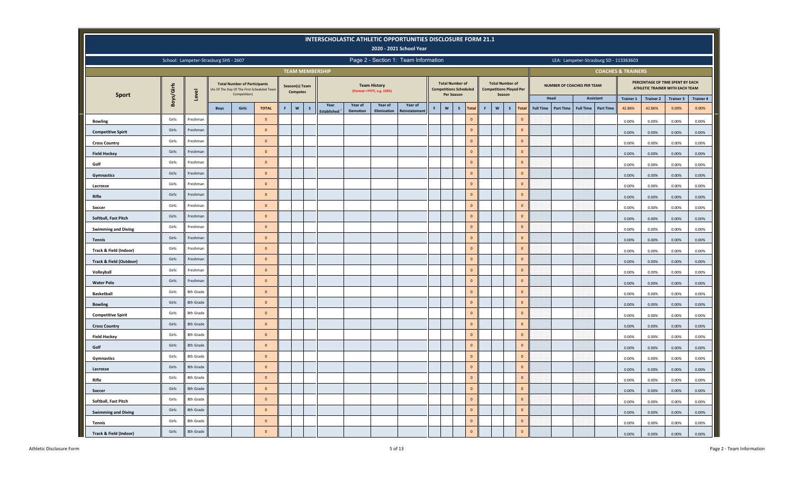|                            |            |                                       |             |                                                     |                                            |    |                                           | INTERSCHOLASTIC ATHLETIC OPPORTUNITIES DISCLOSURE FORM 21.1 |                 |                                                   | 2020 - 2021 School Year              |             |            |                                                         |             |                                                                    |             |                |                  |                  |                                        |                  |                               |                  |                                                                     |                  |
|----------------------------|------------|---------------------------------------|-------------|-----------------------------------------------------|--------------------------------------------|----|-------------------------------------------|-------------------------------------------------------------|-----------------|---------------------------------------------------|--------------------------------------|-------------|------------|---------------------------------------------------------|-------------|--------------------------------------------------------------------|-------------|----------------|------------------|------------------|----------------------------------------|------------------|-------------------------------|------------------|---------------------------------------------------------------------|------------------|
|                            |            | School: Lampeter-Strasburg SHS - 2607 |             |                                                     |                                            |    |                                           |                                                             |                 |                                                   | Page 2 - Section 1: Team Information |             |            |                                                         |             |                                                                    |             |                |                  |                  | LEA: Lampeter-Strasburg SD - 113363603 |                  |                               |                  |                                                                     |                  |
|                            |            |                                       |             |                                                     |                                            |    |                                           | <b>TEAM MEMBERSHIP</b>                                      |                 |                                                   |                                      |             |            |                                                         |             |                                                                    |             |                |                  |                  |                                        |                  | <b>COACHES &amp; TRAINERS</b> |                  |                                                                     |                  |
|                            | Boys/Girls |                                       |             | <b>Total Number of Participants</b><br>Competition) | (As Of The Day Of The First Scheduled Team |    | Season(s) Team<br><b>Competes</b>         |                                                             |                 | <b>Team History</b><br>(Format = YYYY, e.g. 1955) |                                      |             | Per Season | <b>Total Number of</b><br><b>Competitions Scheduled</b> |             | <b>Total Number of</b><br><b>Competitions Played Per</b><br>Season |             |                |                  |                  | <b>NUMBER OF COACHES PER TEAM</b>      |                  |                               |                  | PERCENTAGE OF TIME SPENT BY EACH<br>ATHLETIC TRAINER WITH EACH TEAM |                  |
| <b>Sport</b>               |            | Level                                 |             |                                                     |                                            |    |                                           | Year                                                        | Year of         | Year of                                           | Year of                              |             |            |                                                         |             |                                                                    |             |                |                  | Head             | Assistant                              |                  | <b>Trainer 1</b>              | <b>Trainer 2</b> | <b>Trainer 3</b>                                                    | <b>Trainer 4</b> |
|                            |            |                                       | <b>Boys</b> | Girls                                               | <b>TOTAL</b>                               | F. | $\boldsymbol{\mathsf{w}}$<br>$\mathsf{s}$ | Established                                                 | <b>Demotion</b> | <b>Elimination</b>                                | Reinstatemer                         | $\mathsf F$ | W          | $\sf s$<br>Total                                        | $\mathsf F$ | $\boldsymbol{\mathsf{w}}$                                          | $\mathsf S$ | <b>Total</b>   | <b>Full Time</b> | <b>Part Time</b> | <b>Full Time</b>                       | <b>Part Time</b> | 42.86%                        | 42.86%           | 0.00%                                                               | 0.00%            |
| <b>Bowling</b>             | Girls      | Freshman                              |             |                                                     | $\circ$                                    |    |                                           |                                                             |                 |                                                   |                                      |             |            | $\mathbf{0}$                                            |             |                                                                    |             | $\Omega$       |                  |                  |                                        |                  | 0.00%                         | 0.00%            | 0.00%                                                               | 0.00%            |
| <b>Competitive Spirit</b>  | Girls      | Freshman                              |             |                                                     | $\mathbf{0}$                               |    |                                           |                                                             |                 |                                                   |                                      |             |            | $\mathbf{0}$                                            |             |                                                                    |             | $\circ$        |                  |                  |                                        |                  | 0.00%                         | 0.00%            | 0.00%                                                               | 0.00%            |
| <b>Cross Country</b>       | Girls      | Freshman                              |             |                                                     | $\mathbf 0$                                |    |                                           |                                                             |                 |                                                   |                                      |             |            | $\mathbf 0$                                             |             |                                                                    |             | $\mathbf{0}$   |                  |                  |                                        |                  | 0.00%                         | 0.00%            | 0.00%                                                               | 0.00%            |
| <b>Field Hockey</b>        | Girls      | Freshman                              |             |                                                     | $\mathbf 0$                                |    |                                           |                                                             |                 |                                                   |                                      |             |            | $\mathbf 0$                                             |             |                                                                    |             | $\mathbf 0$    |                  |                  |                                        |                  | 0.00%                         | 0.00%            | 0.00%                                                               | 0.00%            |
| Golf                       | Girls      | Freshman                              |             |                                                     | $\mathbf{0}$                               |    |                                           |                                                             |                 |                                                   |                                      |             |            | $\mathbf{0}$                                            |             |                                                                    |             | $\mathbf{0}$   |                  |                  |                                        |                  | 0.00%                         | 0.00%            | 0.00%                                                               | 0.00%            |
| Gymnastics                 | Girls      | Freshman                              |             |                                                     | $\mathbf{0}$                               |    |                                           |                                                             |                 |                                                   |                                      |             |            | $\mathbf 0$                                             |             |                                                                    |             | $\mathbf{0}$   |                  |                  |                                        |                  | 0.00%                         | 0.00%            | 0.00%                                                               | 0.00%            |
| Lacrosse                   | Girls      | Freshman                              |             |                                                     | $\mathbf 0$                                |    |                                           |                                                             |                 |                                                   |                                      |             |            | $\mathbf 0$                                             |             |                                                                    |             | $\circ$        |                  |                  |                                        |                  | 0.00%                         | 0.00%            | 0.00%                                                               | 0.00%            |
| Rifle                      | Girls      | Freshman                              |             |                                                     | $\circ$                                    |    |                                           |                                                             |                 |                                                   |                                      |             |            | $\mathbf{0}$                                            |             |                                                                    |             | $\circ$        |                  |                  |                                        |                  | 0.00%                         | 0.00%            | 0.00%                                                               | 0.00%            |
| Soccer                     | Girls      | Freshman                              |             |                                                     | $\mathbf{0}$                               |    |                                           |                                                             |                 |                                                   |                                      |             |            | $\mathbf 0$                                             |             |                                                                    |             | $\mathbf{0}$   |                  |                  |                                        |                  | 0.00%                         | 0.00%            | 0.00%                                                               | 0.00%            |
| Softball, Fast Pitch       | Girls      | Freshman                              |             |                                                     | $\mathbf{0}$                               |    |                                           |                                                             |                 |                                                   |                                      |             |            | $\mathbf 0$                                             |             |                                                                    |             | $\overline{0}$ |                  |                  |                                        |                  | 0.00%                         | 0.00%            | 0.00%                                                               | 0.00%            |
| <b>Swimming and Diving</b> | Girls      | Freshman                              |             |                                                     | $\mathbf{0}$                               |    |                                           |                                                             |                 |                                                   |                                      |             |            | $\mathbf 0$                                             |             |                                                                    |             | $\Omega$       |                  |                  |                                        |                  | 0.00%                         | 0.00%            | 0.00%                                                               | 0.00%            |
| <b>Tennis</b>              | Girls      | Freshman                              |             |                                                     | $\circ$                                    |    |                                           |                                                             |                 |                                                   |                                      |             |            | $\mathbf{0}$                                            |             |                                                                    |             | $\overline{0}$ |                  |                  |                                        |                  | 0.00%                         | 0.00%            | 0.00%                                                               | 0.00%            |
| Track & Field (Indoor)     | Girls      | Freshman                              |             |                                                     | $\mathbf{0}$                               |    |                                           |                                                             |                 |                                                   |                                      |             |            | $\mathbf{0}$                                            |             |                                                                    |             | $\Omega$       |                  |                  |                                        |                  | 0.00%                         | 0.00%            | 0.00%                                                               | 0.00%            |
| Track & Field (Outdoor)    | Girls      | Freshman                              |             |                                                     | $\mathbf{0}$                               |    |                                           |                                                             |                 |                                                   |                                      |             |            | $\mathbf{0}$                                            |             |                                                                    |             | $\circ$        |                  |                  |                                        |                  | 0.00%                         | 0.00%            | 0.00%                                                               | 0.00%            |
| Volleyball                 | Girls      | Freshman                              |             |                                                     | $\circ$                                    |    |                                           |                                                             |                 |                                                   |                                      |             |            | $\overline{0}$                                          |             |                                                                    |             | $\overline{0}$ |                  |                  |                                        |                  | 0.00%                         | 0.00%            | 0.00%                                                               | 0.00%            |
| <b>Water Polo</b>          | Girls      | Freshman                              |             |                                                     | $\mathbf{0}$                               |    |                                           |                                                             |                 |                                                   |                                      |             |            | $\mathbf{0}$                                            |             |                                                                    |             | $\mathbf{0}$   |                  |                  |                                        |                  | 0.00%                         | 0.00%            | 0.00%                                                               | 0.00%            |
| <b>Basketball</b>          | Girls      | 8th Grade                             |             |                                                     | $\mathbf{0}$                               |    |                                           |                                                             |                 |                                                   |                                      |             |            | $\mathbf{0}$                                            |             |                                                                    |             | $\circ$        |                  |                  |                                        |                  | 0.00%                         | 0.00%            | 0.00%                                                               | 0.00%            |
| <b>Bowling</b>             | Girls      | 8th Grade                             |             |                                                     | $\mathbf 0$                                |    |                                           |                                                             |                 |                                                   |                                      |             |            | $\mathbf 0$                                             |             |                                                                    |             | $\circ$        |                  |                  |                                        |                  | 0.00%                         | 0.00%            | 0.00%                                                               | 0.00%            |
| <b>Competitive Spirit</b>  | Girls      | 8th Grade                             |             |                                                     | $\mathbf{0}$                               |    |                                           |                                                             |                 |                                                   |                                      |             |            | $\mathbf{0}$                                            |             |                                                                    |             | $\mathbf{0}$   |                  |                  |                                        |                  | 0.00%                         | 0.00%            | 0.00%                                                               | 0.00%            |
| <b>Cross Country</b>       | Girls      | 8th Grade                             |             |                                                     | $\mathbf{0}$                               |    |                                           |                                                             |                 |                                                   |                                      |             |            | $\mathbf 0$                                             |             |                                                                    |             | $\circ$        |                  |                  |                                        |                  | 0.00%                         | 0.00%            | 0.00%                                                               | 0.00%            |
| <b>Field Hockey</b>        | Girls      | 8th Grade                             |             |                                                     | $\mathbf 0$                                |    |                                           |                                                             |                 |                                                   |                                      |             |            | $\mathbf 0$                                             |             |                                                                    |             | $\circ$        |                  |                  |                                        |                  | 0.00%                         | 0.00%            | 0.00%                                                               | 0.00%            |
| Golf                       | Girls      | 8th Grade                             |             |                                                     | $\mathbf{0}$                               |    |                                           |                                                             |                 |                                                   |                                      |             |            | $\mathbf{0}$                                            |             |                                                                    |             | $\mathbf{0}$   |                  |                  |                                        |                  | 0.00%                         | 0.00%            | 0.00%                                                               | 0.00%            |
| Gymnastics                 | Girls      | 8th Grade                             |             |                                                     | $\mathbf{0}$                               |    |                                           |                                                             |                 |                                                   |                                      |             |            | $\mathbf{0}$                                            |             |                                                                    |             | $\mathbf{0}$   |                  |                  |                                        |                  | 0.00%                         | 0.00%            | 0.00%                                                               | 0.00%            |
| Lacrosse                   | Girls      | 8th Grade                             |             |                                                     | $\circ$                                    |    |                                           |                                                             |                 |                                                   |                                      |             |            | $\mathbf 0$                                             |             |                                                                    |             | $\circ$        |                  |                  |                                        |                  | 0.00%                         | 0.00%            | 0.00%                                                               | 0.00%            |
| Rifle                      | Girls      | 8th Grade                             |             |                                                     | $\circ$                                    |    |                                           |                                                             |                 |                                                   |                                      |             |            | $\mathbf 0$                                             |             |                                                                    |             | $\circ$        |                  |                  |                                        |                  | 0.00%                         | 0.00%            | 0.00%                                                               | 0.00%            |
| Soccer                     | Girls      | 8th Grade                             |             |                                                     | $\mathbf{0}$                               |    |                                           |                                                             |                 |                                                   |                                      |             |            | $\mathbf{0}$                                            |             |                                                                    |             | $\overline{0}$ |                  |                  |                                        |                  | 0.00%                         | 0.00%            | 0.00%                                                               | 0.00%            |
| Softball, Fast Pitch       | Girls      | 8th Grade                             |             |                                                     | $\mathbf{0}$                               |    |                                           |                                                             |                 |                                                   |                                      |             |            | $\mathbf{0}$                                            |             |                                                                    |             | $\overline{0}$ |                  |                  |                                        |                  | 0.00%                         | 0.00%            | 0.00%                                                               | 0.00%            |
| <b>Swimming and Diving</b> | Girls      | 8th Grade                             |             |                                                     | $\overline{0}$                             |    |                                           |                                                             |                 |                                                   |                                      |             |            | $\mathbf{0}$                                            |             |                                                                    |             | $\overline{0}$ |                  |                  |                                        |                  | 0.00%                         | 0.00%            | 0.00%                                                               | 0.00%            |
| <b>Tennis</b>              | Girls      | 8th Grade                             |             |                                                     | $\circ$                                    |    |                                           |                                                             |                 |                                                   |                                      |             |            | $\mathbf{0}$                                            |             |                                                                    |             | $\overline{0}$ |                  |                  |                                        |                  | 0.00%                         | 0.00%            | 0.00%                                                               | 0.00%            |
| Track & Field (Indoor)     | Girls      | 8th Grade                             |             |                                                     | $\mathbf{0}$                               |    |                                           |                                                             |                 |                                                   |                                      |             |            | $\mathbf 0$                                             |             |                                                                    |             | $\circ$        |                  |                  |                                        |                  | 0.00%                         | 0.00%            | 0.00%                                                               | 0.00%            |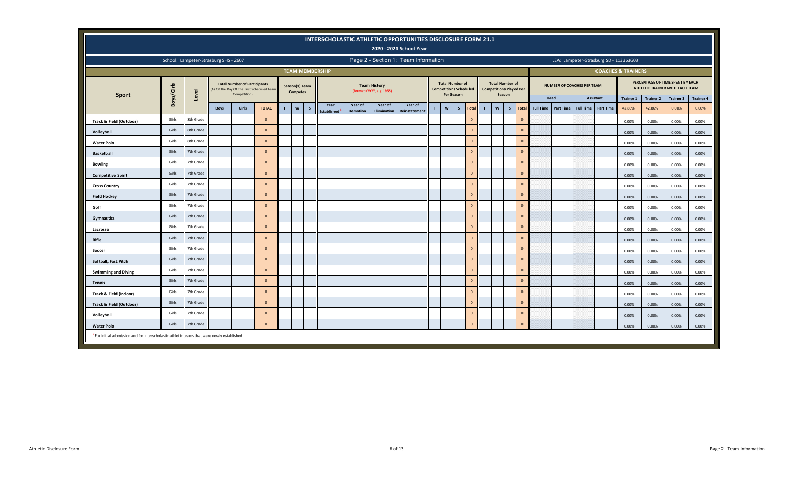|                                                                                                         |                                                                                                                                                                                                                                                                                     |                                       |             |                                                                                                   |                |    |                                   |   |                          |                 |                                                  | INTERSCHOLASTIC ATHLETIC OPPORTUNITIES DISCLOSURE FORM 21.1<br>2020 - 2021 School Year |   |                           |                                                                       |              |    |                                                                    |              |                  |           |                                   |                  |                                        |                  |                                                                     |                  |
|---------------------------------------------------------------------------------------------------------|-------------------------------------------------------------------------------------------------------------------------------------------------------------------------------------------------------------------------------------------------------------------------------------|---------------------------------------|-------------|---------------------------------------------------------------------------------------------------|----------------|----|-----------------------------------|---|--------------------------|-----------------|--------------------------------------------------|----------------------------------------------------------------------------------------|---|---------------------------|-----------------------------------------------------------------------|--------------|----|--------------------------------------------------------------------|--------------|------------------|-----------|-----------------------------------|------------------|----------------------------------------|------------------|---------------------------------------------------------------------|------------------|
|                                                                                                         |                                                                                                                                                                                                                                                                                     | School: Lampeter-Strasburg SHS - 2607 |             |                                                                                                   |                |    |                                   |   |                          |                 |                                                  | Page 2 - Section 1: Team Information                                                   |   |                           |                                                                       |              |    |                                                                    |              |                  |           |                                   |                  | LEA: Lampeter-Strasburg SD - 113363603 |                  |                                                                     |                  |
|                                                                                                         |                                                                                                                                                                                                                                                                                     |                                       |             |                                                                                                   |                |    |                                   |   | <b>TEAM MEMBERSHIP</b>   |                 |                                                  |                                                                                        |   |                           |                                                                       |              |    |                                                                    |              |                  |           |                                   |                  | <b>COACHES &amp; TRAINERS</b>          |                  |                                                                     |                  |
| <b>Sport</b>                                                                                            | Boys/Girls                                                                                                                                                                                                                                                                          | Level                                 |             | <b>Total Number of Participants</b><br>(As Of The Day Of The First Scheduled Team<br>Competition) |                |    | Season(s) Team<br><b>Competes</b> |   |                          |                 | <b>Team History</b><br>(Format =YYYY, e.g. 1955) |                                                                                        |   |                           | <b>Total Number of</b><br><b>Competitions Scheduled</b><br>Per Season |              |    | <b>Total Number of</b><br><b>Competitions Played Per</b><br>Season |              |                  |           | <b>NUMBER OF COACHES PER TEAM</b> |                  |                                        |                  | PERCENTAGE OF TIME SPENT BY EACH<br>ATHLETIC TRAINER WITH EACH TEAM |                  |
|                                                                                                         |                                                                                                                                                                                                                                                                                     |                                       |             |                                                                                                   |                |    |                                   |   | Year                     | Year of         | Year of                                          | Year of                                                                                |   |                           |                                                                       |              |    |                                                                    |              | Head             |           |                                   | <b>Assistant</b> | <b>Trainer 1</b>                       | <b>Trainer 2</b> | <b>Trainer 3</b>                                                    | <b>Trainer 4</b> |
|                                                                                                         |                                                                                                                                                                                                                                                                                     |                                       | <b>Boys</b> | Girls                                                                                             | <b>TOTAL</b>   | F. | $\mathsf{w}$                      | s | Established <sup>1</sup> | <b>Demotion</b> | Elimination                                      | <b>Reinstatemen</b>                                                                    | я | $\boldsymbol{\mathsf{w}}$ | $\mathsf{s}$                                                          | Total        | F. | $\mathsf{w}$<br>$\mathsf{s}$                                       | <b>Total</b> | <b>Full Time</b> | Part Time | <b>Full Time</b>                  | <b>Part Time</b> | 42.86%                                 | 42.86%           | 0.00%                                                               | 0.00%            |
| Track & Field (Outdoor)                                                                                 | Girls                                                                                                                                                                                                                                                                               | 8th Grade                             |             |                                                                                                   | $\overline{0}$ |    |                                   |   |                          |                 |                                                  |                                                                                        |   |                           |                                                                       | $\mathbf{0}$ |    |                                                                    | $\mathbf{0}$ |                  |           |                                   |                  | 0.00%                                  | 0.00%            | 0.00%                                                               | 0.00%            |
| Volleyball                                                                                              | Girls                                                                                                                                                                                                                                                                               | 8th Grade                             |             |                                                                                                   | $\Omega$       |    |                                   |   |                          |                 |                                                  |                                                                                        |   |                           |                                                                       | $\mathbf{0}$ |    |                                                                    | $\mathbf{0}$ |                  |           |                                   |                  | 0.00%                                  | 0.00%            | 0.00%                                                               | 0.00%            |
| <b>Water Polo</b>                                                                                       | $\mathbf{0}$<br>$\mathbf{0}$<br>Girls<br>8th Grade<br>$\Omega$<br>0.00%<br>0.00%<br>0.00%<br>Girls<br>7th Grade<br>$\mathbf{0}$<br>$\mathbf{0}$<br>$\Omega$<br>0.00%<br>0.00%<br>0.00%<br>7th Grade<br>$\mathbf{0}$<br>$\mathbf{0}$<br>Girls<br>$\Omega$<br>0.00%<br>0.00%<br>0.00% |                                       |             |                                                                                                   |                |    |                                   |   |                          |                 |                                                  |                                                                                        |   |                           |                                                                       | 0.00%        |    |                                                                    |              |                  |           |                                   |                  |                                        |                  |                                                                     |                  |
| <b>Basketball</b>                                                                                       | 7th Grade<br>$\mathbf{0}$<br>$\mathbf{0}$<br>Girls<br>$\mathbf{0}$                                                                                                                                                                                                                  |                                       |             |                                                                                                   |                |    |                                   |   |                          |                 |                                                  |                                                                                        |   |                           |                                                                       | 0.00%        |    |                                                                    |              |                  |           |                                   |                  |                                        |                  |                                                                     |                  |
| <b>Bowling</b>                                                                                          | 0.00%<br>0.00%<br>0.00%                                                                                                                                                                                                                                                             |                                       |             |                                                                                                   |                |    |                                   |   |                          |                 |                                                  |                                                                                        |   |                           |                                                                       | 0.00%        |    |                                                                    |              |                  |           |                                   |                  |                                        |                  |                                                                     |                  |
| <b>Competitive Spirit</b>                                                                               | Girls<br>7th Grade<br>$\mathbf{0}$<br>$\mathbf{0}$<br>$\Omega$<br>0.00%<br>0.00%<br>0.00%                                                                                                                                                                                           |                                       |             |                                                                                                   |                |    |                                   |   |                          |                 |                                                  |                                                                                        |   |                           |                                                                       | 0.00%        |    |                                                                    |              |                  |           |                                   |                  |                                        |                  |                                                                     |                  |
| <b>Cross Country</b>                                                                                    |                                                                                                                                                                                                                                                                                     |                                       |             |                                                                                                   |                |    |                                   |   |                          |                 |                                                  |                                                                                        |   |                           |                                                                       | 0.00%        |    |                                                                    |              |                  |           |                                   |                  |                                        |                  |                                                                     |                  |
| <b>Field Hockey</b>                                                                                     | Girls                                                                                                                                                                                                                                                                               | 7th Grade                             |             |                                                                                                   | $\Omega$       |    |                                   |   |                          |                 |                                                  |                                                                                        |   |                           |                                                                       | $\mathbf{0}$ |    |                                                                    | $\mathbf{0}$ |                  |           |                                   |                  | 0.00%                                  | 0.00%            | 0.00%                                                               | 0.00%            |
| Golf                                                                                                    | Girls                                                                                                                                                                                                                                                                               | 7th Grade                             |             |                                                                                                   | $\Omega$       |    |                                   |   |                          |                 |                                                  |                                                                                        |   |                           |                                                                       | $\mathbf{0}$ |    |                                                                    | $\mathbf{0}$ |                  |           |                                   |                  | 0.00%                                  | 0.00%            | 0.00%                                                               | 0.00%            |
| Gymnastics                                                                                              | Girls                                                                                                                                                                                                                                                                               | 7th Grade                             |             |                                                                                                   | $\Omega$       |    |                                   |   |                          |                 |                                                  |                                                                                        |   |                           |                                                                       | $\mathbf{0}$ |    |                                                                    | $\mathbf{0}$ |                  |           |                                   |                  | 0.00%                                  | 0.00%            | 0.00%                                                               | 0.00%            |
| Lacrosse                                                                                                | Girls                                                                                                                                                                                                                                                                               | 7th Grade                             |             |                                                                                                   | $\overline{0}$ |    |                                   |   |                          |                 |                                                  |                                                                                        |   |                           |                                                                       | $\mathbf{0}$ |    |                                                                    | $\mathbf{0}$ |                  |           |                                   |                  | 0.00%                                  | 0.00%            | 0.00%                                                               | 0.00%            |
| Rifle                                                                                                   | Girls                                                                                                                                                                                                                                                                               | 7th Grade                             |             |                                                                                                   | $\Omega$       |    |                                   |   |                          |                 |                                                  |                                                                                        |   |                           |                                                                       | $\mathbf{0}$ |    |                                                                    | $\mathbf{0}$ |                  |           |                                   |                  | 0.00%                                  | 0.00%            | 0.00%                                                               | 0.00%            |
| Soccer                                                                                                  | Girls                                                                                                                                                                                                                                                                               | 7th Grade                             |             |                                                                                                   | $\Omega$       |    |                                   |   |                          |                 |                                                  |                                                                                        |   |                           |                                                                       | $\mathbf{0}$ |    |                                                                    | $\mathbf{0}$ |                  |           |                                   |                  | 0.00%                                  | 0.00%            | 0.00%                                                               | 0.00%            |
| Softball, Fast Pitch                                                                                    | Girls                                                                                                                                                                                                                                                                               | 7th Grade                             |             |                                                                                                   | $\Omega$       |    |                                   |   |                          |                 |                                                  |                                                                                        |   |                           |                                                                       | $\mathbf{0}$ |    |                                                                    | $\mathbf{0}$ |                  |           |                                   |                  | 0.00%                                  | 0.00%            | 0.00%                                                               | 0.00%            |
| <b>Swimming and Diving</b>                                                                              | Girls                                                                                                                                                                                                                                                                               | 7th Grade                             |             |                                                                                                   | $\Omega$       |    |                                   |   |                          |                 |                                                  |                                                                                        |   |                           |                                                                       | $\mathbf{0}$ |    |                                                                    | $\mathbf 0$  |                  |           |                                   |                  | 0.00%                                  | 0.00%            | 0.00%                                                               | 0.00%            |
| <b>Tennis</b>                                                                                           | Girls                                                                                                                                                                                                                                                                               | 7th Grade                             |             |                                                                                                   | $\Omega$       |    |                                   |   |                          |                 |                                                  |                                                                                        |   |                           |                                                                       | $\mathbf{0}$ |    |                                                                    | $\mathbf{0}$ |                  |           |                                   |                  | 0.00%                                  | 0.00%            | 0.00%                                                               | 0.00%            |
| Track & Field (Indoor)                                                                                  | Girls                                                                                                                                                                                                                                                                               | 7th Grade                             |             |                                                                                                   | $\Omega$       |    |                                   |   |                          |                 |                                                  |                                                                                        |   |                           |                                                                       | $\mathbf{0}$ |    |                                                                    | $\mathbf{0}$ |                  |           |                                   |                  | 0.00%                                  | 0.00%            | 0.00%                                                               | 0.00%            |
| Track & Field (Outdoor)                                                                                 | Girls                                                                                                                                                                                                                                                                               | 7th Grade                             |             |                                                                                                   | $\Omega$       |    |                                   |   |                          |                 |                                                  |                                                                                        |   |                           |                                                                       | $\mathbf{0}$ |    |                                                                    | $\mathbf{0}$ |                  |           |                                   |                  | 0.00%                                  | 0.00%            | 0.00%                                                               | 0.00%            |
| Volleyball                                                                                              | Girls                                                                                                                                                                                                                                                                               | 7th Grade                             |             |                                                                                                   | $\Omega$       |    |                                   |   |                          |                 |                                                  |                                                                                        |   |                           |                                                                       | $\mathbf{0}$ |    |                                                                    | $\mathbf{0}$ |                  |           |                                   |                  | 0.00%                                  | 0.00%            | 0.00%                                                               | 0.00%            |
| <b>Water Polo</b>                                                                                       | Girls                                                                                                                                                                                                                                                                               | 7th Grade                             |             |                                                                                                   | $\mathbf{0}$   |    |                                   |   |                          |                 |                                                  |                                                                                        |   |                           |                                                                       | $\mathbf{0}$ |    |                                                                    | $\mathbf{0}$ |                  |           |                                   |                  | 0.00%                                  | 0.00%            | 0.00%                                                               | 0.00%            |
| <sup>1</sup> For initial submission and for interscholastic athletic teams that were newly established. |                                                                                                                                                                                                                                                                                     |                                       |             |                                                                                                   |                |    |                                   |   |                          |                 |                                                  |                                                                                        |   |                           |                                                                       |              |    |                                                                    |              |                  |           |                                   |                  |                                        |                  |                                                                     |                  |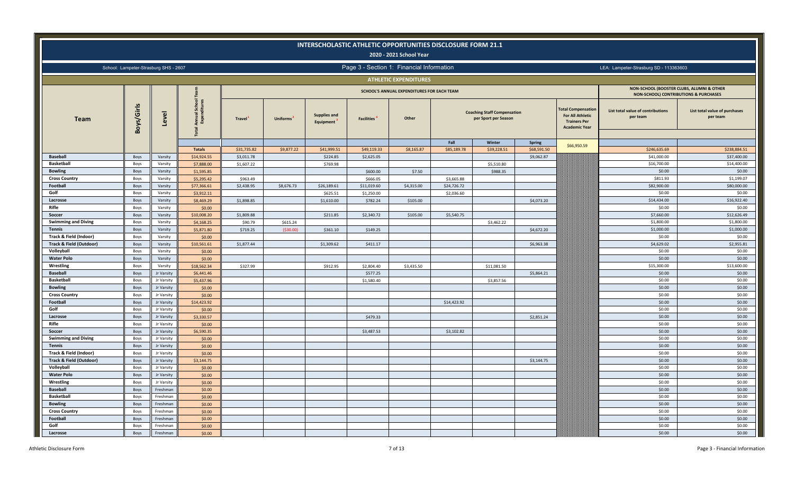|                                         |              |                                       |                                |               |                       |                                  |                   | INTERSCHOLASTIC ATHLETIC OPPORTUNITIES DISCLOSURE FORM 21.1<br>2020 - 2021 School Year |             |                                                            |               |                                                                                             |                                                                                               |                                           |
|-----------------------------------------|--------------|---------------------------------------|--------------------------------|---------------|-----------------------|----------------------------------|-------------------|----------------------------------------------------------------------------------------|-------------|------------------------------------------------------------|---------------|---------------------------------------------------------------------------------------------|-----------------------------------------------------------------------------------------------|-------------------------------------------|
|                                         |              | School: Lampeter-Strasburg SHS - 2607 |                                |               |                       |                                  |                   | Page 3 - Section 1: Financial Information                                              |             |                                                            |               |                                                                                             | LEA: Lampeter-Strasburg SD - 113363603                                                        |                                           |
|                                         |              |                                       |                                |               |                       |                                  |                   | <b>ATHLETIC EXPENDITURES</b>                                                           |             |                                                            |               |                                                                                             |                                                                                               |                                           |
|                                         |              |                                       |                                |               |                       |                                  |                   | SCHOOL'S ANNUAL EXPENDITURES FOR EACH TEAM                                             |             |                                                            |               |                                                                                             | NON-SCHOOL (BOOSTER CLUBS, ALUMNI & OTHER<br><b>NON-SCHOOL) CONTRIBUTIONS &amp; PURCHASES</b> |                                           |
| <b>Team</b>                             | Boys/Girls   | Level                                 | Annual Scho<br>Expenditur<br>g | <b>Travel</b> | Uniforms <sup>2</sup> | <b>Supplies and</b><br>Equipment | <b>Facilities</b> | Other                                                                                  |             | <b>Coaching Staff Compensation</b><br>per Sport per Season |               | otal Compensation<br><b>For All Athletic</b><br><b>Trainers Per</b><br><b>Academic Year</b> | List total value of contributions<br>per team                                                 | List total value of purchases<br>per team |
|                                         |              |                                       |                                |               |                       |                                  |                   |                                                                                        | Fall        | Winter                                                     | <b>Spring</b> |                                                                                             |                                                                                               |                                           |
|                                         |              |                                       | <b>Totals</b>                  | \$31,735.82   | \$9,877.22            | \$41,999.51                      | \$49,119.33       | \$8,165.87                                                                             | \$85,189.78 | \$39,228.51                                                | \$68,591.50   | \$66,950.59                                                                                 | \$246,635.69                                                                                  | \$238,884.51                              |
| <b>Baseball</b>                         | Boys         | Varsity                               | \$14,924.55                    | \$3,011.78    |                       | \$224.85                         | \$2,625.05        |                                                                                        |             |                                                            | \$9,062.87    |                                                                                             | \$41,000.00                                                                                   | \$37,400.00                               |
| <b>Basketball</b>                       | Boys         | Varsity                               | \$7,888.00                     | \$1,607.22    |                       | \$769.98                         |                   |                                                                                        |             | \$5,510.80                                                 |               |                                                                                             | \$16,700.00                                                                                   | \$14,400.00                               |
| <b>Bowling</b>                          | Boys         | Varsity                               | \$1,595.85                     |               |                       |                                  | \$600.00          | \$7.50                                                                                 |             | \$988.35                                                   |               |                                                                                             | \$0.00                                                                                        | \$0.00                                    |
| <b>Cross Country</b>                    | Boys         | Varsity                               | \$5,295.42                     | \$963.49      |                       |                                  | \$666.05          |                                                                                        | \$3,665.88  |                                                            |               |                                                                                             | \$811.93                                                                                      | \$1,199.07                                |
| Football                                | Boys         | Varsity                               | \$77,366.61                    | \$2,438.95    | \$8,676.73            | \$26,189.61                      | \$11,019.60       | \$4,315.00                                                                             | \$24,726.72 |                                                            |               |                                                                                             | \$82,900.00                                                                                   | \$80,000.00                               |
| Golf                                    | Boys         | Varsity                               | \$3,912.11                     |               |                       | \$625.51                         | \$1,250.00        |                                                                                        | \$2,036.60  |                                                            |               |                                                                                             | \$0.00                                                                                        | \$0.00                                    |
| Lacrosse                                | Boys         | Varsity                               | \$8,469.29                     | \$1,898.85    |                       | \$1,610.00                       | \$782.24          | \$105.00                                                                               |             |                                                            | \$4,073.20    |                                                                                             | \$14,434.00                                                                                   | \$16,922.40                               |
| Rifle                                   | Boys         | Varsity                               | \$0.00                         |               |                       |                                  |                   |                                                                                        |             |                                                            |               |                                                                                             | \$0.00                                                                                        | \$0.00                                    |
| Soccer                                  | Boys         | Varsity                               | \$10,008.20                    | \$1,809.88    |                       | \$211.85                         | \$2,340.72        | \$105.00                                                                               | \$5,540.75  |                                                            |               |                                                                                             | \$7,660.00                                                                                    | \$12,626.49                               |
| <b>Swimming and Diving</b>              | Boys         | Varsity                               | \$4,168.25                     | \$90.79       | \$615.24              |                                  |                   |                                                                                        |             | \$3,462.22                                                 |               |                                                                                             | \$1,800.00                                                                                    | \$1,800.00                                |
| <b>Tennis</b>                           | Boys         | Varsity                               | \$5,871.80                     | \$719.25      | ( \$30.00)            | \$361.10                         | \$149.25          |                                                                                        |             |                                                            | \$4,672.20    |                                                                                             | \$1,000.00                                                                                    | \$1,000.00                                |
| Track & Field (Indoor)                  | Boys         | Varsity                               | \$0.00                         |               |                       |                                  |                   |                                                                                        |             |                                                            |               |                                                                                             | \$0.00                                                                                        | \$0.00                                    |
| <b>Track &amp; Field (Outdoor)</b>      | Boys         | Varsity                               | \$10,561.61                    | \$1,877.44    |                       | \$1,309.62                       | \$411.17          |                                                                                        |             |                                                            | \$6,963.38    |                                                                                             | \$4,629.02                                                                                    | \$2,955.81                                |
| Volleyball                              | Boys         | Varsity                               | \$0.00                         |               |                       |                                  |                   |                                                                                        |             |                                                            |               |                                                                                             | \$0.00                                                                                        | \$0.00                                    |
| <b>Water Polo</b>                       | Boys         | Varsity                               | \$0.00                         |               |                       |                                  |                   |                                                                                        |             |                                                            |               |                                                                                             | \$0.00                                                                                        | \$0.00                                    |
| Wrestling                               | Boys         | Varsity                               | \$18,562.34                    | \$327.99      |                       | \$912.95                         | \$2,804.40        | \$3,435.50                                                                             |             | \$11,081.50                                                |               |                                                                                             | \$15,300.00                                                                                   | \$13,600.00                               |
| <b>Baseball</b>                         | Boys         | Jr Varsity                            | \$6,441.46                     |               |                       |                                  | \$577.25          |                                                                                        |             |                                                            | \$5,864.21    |                                                                                             | \$0.00                                                                                        | \$0.00                                    |
| <b>Basketball</b>                       | Boys         | Jr Varsity                            | \$5,437.96                     |               |                       |                                  | \$1,580.40        |                                                                                        |             | \$3,857.56                                                 |               |                                                                                             | \$0.00                                                                                        | \$0.00                                    |
| <b>Bowling</b>                          | Boys         | Jr Varsity                            | \$0.00                         |               |                       |                                  |                   |                                                                                        |             |                                                            |               |                                                                                             | \$0.00                                                                                        | \$0.00                                    |
| <b>Cross Country</b>                    | Boys         | Jr Varsity                            | \$0.00                         |               |                       |                                  |                   |                                                                                        |             |                                                            |               |                                                                                             | \$0.00                                                                                        | \$0.00                                    |
| Football                                | Boys         | Jr Varsity                            | \$14,423.92                    |               |                       |                                  |                   |                                                                                        | \$14,423.92 |                                                            |               |                                                                                             | \$0.00                                                                                        | \$0.00                                    |
| Golf                                    | Boys         | Jr Varsity                            | \$0.00                         |               |                       |                                  |                   |                                                                                        |             |                                                            |               |                                                                                             | \$0.00                                                                                        | \$0.00                                    |
| Lacrosse                                | Boys         | Jr Varsity                            | \$3,330.57                     |               |                       |                                  | \$479.33          |                                                                                        |             |                                                            | \$2,851.24    |                                                                                             | \$0.00                                                                                        | \$0.00                                    |
| Rifle                                   | Boys         | Jr Varsity                            | \$0.00                         |               |                       |                                  |                   |                                                                                        |             |                                                            |               |                                                                                             | \$0.00                                                                                        | \$0.00                                    |
| Soccer                                  | Boys         | Jr Varsity                            | \$6,590.35                     |               |                       |                                  | \$3,487.53        |                                                                                        | \$3,102.82  |                                                            |               |                                                                                             | \$0.00                                                                                        | \$0.00                                    |
| <b>Swimming and Diving</b>              | Boys         | Jr Varsity                            | \$0.00                         |               |                       |                                  |                   |                                                                                        |             |                                                            |               |                                                                                             | \$0.00                                                                                        | \$0.00<br>\$0.00                          |
| <b>Tennis</b><br>Track & Field (Indoor) | Boys<br>Boys | Jr Varsity<br>Jr Varsity              | \$0.00<br>\$0.00               |               |                       |                                  |                   |                                                                                        |             |                                                            |               |                                                                                             | \$0.00<br>\$0.00                                                                              | \$0.00                                    |
| <b>Track &amp; Field (Outdoor)</b>      |              |                                       |                                |               |                       |                                  |                   |                                                                                        |             |                                                            |               |                                                                                             | \$0.00                                                                                        | \$0.00                                    |
| Volleyball                              | Boys<br>Boys | Jr Varsity<br>Jr Varsity              | \$3,144.75<br>\$0.00           |               |                       |                                  |                   |                                                                                        |             |                                                            | \$3,144.75    |                                                                                             | \$0.00                                                                                        | \$0.00                                    |
| <b>Water Polo</b>                       | Boys         | Jr Varsity                            | \$0.00                         |               |                       |                                  |                   |                                                                                        |             |                                                            |               |                                                                                             | \$0.00                                                                                        | \$0.00                                    |
| Wrestling                               | Boys         | Jr Varsity                            | \$0.00                         |               |                       |                                  |                   |                                                                                        |             |                                                            |               |                                                                                             | \$0.00                                                                                        | \$0.00                                    |
| <b>Baseball</b>                         | Boys         | Freshman                              | \$0.00                         |               |                       |                                  |                   |                                                                                        |             |                                                            |               |                                                                                             | \$0.00                                                                                        | \$0.00                                    |
| <b>Basketball</b>                       | Boys         | Freshmar                              | \$0.00                         |               |                       |                                  |                   |                                                                                        |             |                                                            |               |                                                                                             | \$0.00                                                                                        | \$0.00                                    |
| <b>Bowling</b>                          | Boys         | Freshman                              | \$0.00                         |               |                       |                                  |                   |                                                                                        |             |                                                            |               |                                                                                             | \$0.00                                                                                        | \$0.00                                    |
| <b>Cross Country</b>                    | Boys         | Freshman                              | \$0.00                         |               |                       |                                  |                   |                                                                                        |             |                                                            |               |                                                                                             | \$0.00                                                                                        | \$0.00                                    |
| Football                                | Boys         | Freshman                              | \$0.00                         |               |                       |                                  |                   |                                                                                        |             |                                                            |               |                                                                                             | \$0.00                                                                                        | \$0.00                                    |
| Golf                                    | Boys         | Freshman                              | \$0.00                         |               |                       |                                  |                   |                                                                                        |             |                                                            |               |                                                                                             | \$0.00                                                                                        | \$0.00                                    |
| Lacrosse                                | Boys         | Freshman                              | \$0.00                         |               |                       |                                  |                   |                                                                                        |             |                                                            |               |                                                                                             | \$0.00                                                                                        | \$0.00                                    |
|                                         |              |                                       |                                |               |                       |                                  |                   |                                                                                        |             |                                                            |               |                                                                                             |                                                                                               |                                           |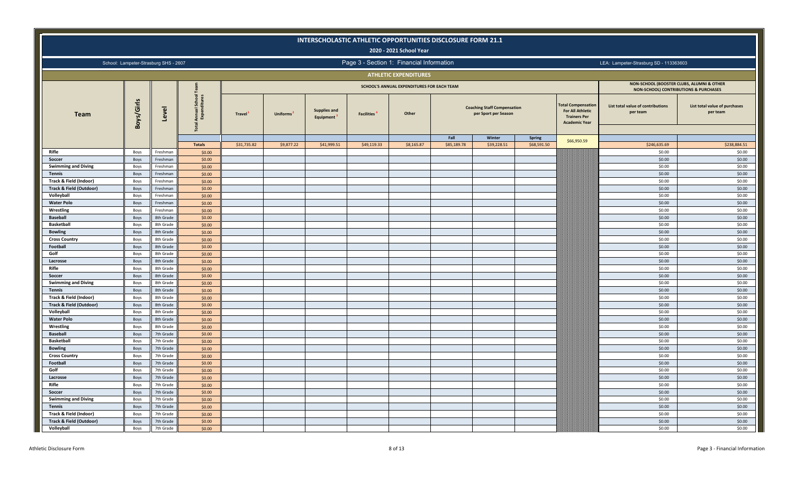|                                             |              |                                       |                                                           |             |            | INTERSCHOLASTIC ATHLETIC OPPORTUNITIES DISCLOSURE FORM 21.1 |                               |                                            |             |                                                            |               |                                                                                             |                                                                                    |                                           |
|---------------------------------------------|--------------|---------------------------------------|-----------------------------------------------------------|-------------|------------|-------------------------------------------------------------|-------------------------------|--------------------------------------------|-------------|------------------------------------------------------------|---------------|---------------------------------------------------------------------------------------------|------------------------------------------------------------------------------------|-------------------------------------------|
|                                             |              |                                       |                                                           |             |            |                                                             |                               | 2020 - 2021 School Year                    |             |                                                            |               |                                                                                             |                                                                                    |                                           |
|                                             |              | School: Lampeter-Strasburg SHS - 2607 |                                                           |             |            |                                                             |                               | Page 3 - Section 1: Financial Information  |             |                                                            |               |                                                                                             | LEA: Lampeter-Strasburg SD - 113363603                                             |                                           |
|                                             |              |                                       |                                                           |             |            |                                                             |                               | <b>ATHLETIC EXPENDITURES</b>               |             |                                                            |               |                                                                                             |                                                                                    |                                           |
|                                             |              |                                       |                                                           |             |            |                                                             |                               | SCHOOL'S ANNUAL EXPENDITURES FOR EACH TEAM |             |                                                            |               |                                                                                             | NON-SCHOOL (BOOSTER CLUBS, ALUMNI & OTHER<br>NON-SCHOOL) CONTRIBUTIONS & PURCHASES |                                           |
| <b>Team</b>                                 | Boys/Girls   | Level                                 | I School<br>Iditures<br>Annual:<br>Expend<br><b>Total</b> | Travel      | Uniforms   | <b>Supplies and</b><br>Equipment                            | <b>Facilities<sup>4</sup></b> | Other                                      |             | <b>Coaching Staff Compensation</b><br>per Sport per Season |               | otal Compensation<br><b>For All Athletic</b><br><b>Trainers Per</b><br><b>Academic Year</b> | List total value of contributions<br>per team                                      | List total value of purchases<br>per team |
|                                             |              |                                       |                                                           |             |            |                                                             |                               |                                            | Fall        | Winter                                                     | <b>Spring</b> | \$66,950.59                                                                                 |                                                                                    |                                           |
|                                             |              |                                       | <b>Totals</b>                                             | \$31,735.82 | \$9,877.22 | \$41,999.51                                                 | \$49,119.33                   | \$8,165.87                                 | \$85,189.78 | \$39,228.51                                                | \$68,591.50   |                                                                                             | \$246,635.69                                                                       | \$238,884.51                              |
| Rifle                                       | Boys         | Freshman                              | \$0.00                                                    |             |            |                                                             |                               |                                            |             |                                                            |               |                                                                                             | \$0.00                                                                             | \$0.00                                    |
| Soccer                                      | Boys         | Freshman                              | \$0.00                                                    |             |            |                                                             |                               |                                            |             |                                                            |               |                                                                                             | \$0.00                                                                             | \$0.00                                    |
| <b>Swimming and Diving</b><br><b>Tennis</b> | Boys         | Freshman                              | \$0.00                                                    |             |            |                                                             |                               |                                            |             |                                                            |               |                                                                                             | \$0.00<br>\$0.00                                                                   | \$0.00<br>\$0.00                          |
| Track & Field (Indoor)                      | Boys         | Freshman<br>Freshman                  | \$0.00<br>\$0.00                                          |             |            |                                                             |                               |                                            |             |                                                            |               |                                                                                             | \$0.00                                                                             | \$0.00                                    |
| <b>Track &amp; Field (Outdoor)</b>          | Boys<br>Boys | Freshman                              | \$0.00                                                    |             |            |                                                             |                               |                                            |             |                                                            |               |                                                                                             | \$0.00                                                                             | \$0.00                                    |
| Volleyball                                  | Boys         | Freshman                              | \$0.00                                                    |             |            |                                                             |                               |                                            |             |                                                            |               |                                                                                             | \$0.00                                                                             | \$0.00                                    |
| <b>Water Polo</b>                           | Boys         | Freshman                              | \$0.00                                                    |             |            |                                                             |                               |                                            |             |                                                            |               |                                                                                             | \$0.00                                                                             | \$0.00                                    |
| Wrestling                                   | Boys         | Freshman                              | \$0.00                                                    |             |            |                                                             |                               |                                            |             |                                                            |               |                                                                                             | \$0.00                                                                             | \$0.00                                    |
| <b>Baseball</b>                             | Boys         | 8th Grade                             | \$0.00                                                    |             |            |                                                             |                               |                                            |             |                                                            |               |                                                                                             | \$0.00                                                                             | \$0.00                                    |
| <b>Basketball</b>                           | Boys         | 8th Grade                             | \$0.00                                                    |             |            |                                                             |                               |                                            |             |                                                            |               |                                                                                             | \$0.00                                                                             | \$0.00                                    |
| <b>Bowling</b>                              | Boys         | 8th Grade                             | \$0.00                                                    |             |            |                                                             |                               |                                            |             |                                                            |               |                                                                                             | \$0.00                                                                             | \$0.00                                    |
| <b>Cross Country</b>                        | Boys         | 8th Grade                             | \$0.00                                                    |             |            |                                                             |                               |                                            |             |                                                            |               |                                                                                             | \$0.00                                                                             | \$0.00                                    |
| Football                                    | Boys         | 8th Grade                             | \$0.00                                                    |             |            |                                                             |                               |                                            |             |                                                            |               |                                                                                             | \$0.00                                                                             | \$0.00                                    |
| Golf                                        | Boys         | 8th Grade                             | \$0.00                                                    |             |            |                                                             |                               |                                            |             |                                                            |               |                                                                                             | \$0.00                                                                             | \$0.00                                    |
| Lacrosse                                    | Boys         | 8th Grade                             | \$0.00                                                    |             |            |                                                             |                               |                                            |             |                                                            |               |                                                                                             | \$0.00                                                                             | \$0.00                                    |
| Rifle                                       | Boys         | 8th Grade                             | \$0.00                                                    |             |            |                                                             |                               |                                            |             |                                                            |               |                                                                                             | \$0.00                                                                             | \$0.00                                    |
| Soccer                                      | Boys         | 8th Grade                             | \$0.00                                                    |             |            |                                                             |                               |                                            |             |                                                            |               |                                                                                             | \$0.00                                                                             | \$0.00                                    |
| <b>Swimming and Diving</b>                  | Boys         | 8th Grade                             | \$0.00                                                    |             |            |                                                             |                               |                                            |             |                                                            |               |                                                                                             | \$0.00                                                                             | \$0.00                                    |
| <b>Tennis</b>                               | Boys         | 8th Grade                             | \$0.00                                                    |             |            |                                                             |                               |                                            |             |                                                            |               |                                                                                             | \$0.00                                                                             | \$0.00                                    |
| Track & Field (Indoor)                      | Boys         | 8th Grade                             | \$0.00                                                    |             |            |                                                             |                               |                                            |             |                                                            |               |                                                                                             | \$0.00                                                                             | \$0.00                                    |
| <b>Track &amp; Field (Outdoor)</b>          | Boys         | 8th Grade                             | \$0.00                                                    |             |            |                                                             |                               |                                            |             |                                                            |               |                                                                                             | \$0.00                                                                             | \$0.00                                    |
| Volleyball                                  | Boys         | 8th Grade                             | \$0.00                                                    |             |            |                                                             |                               |                                            |             |                                                            |               |                                                                                             | \$0.00                                                                             | \$0.00                                    |
| <b>Water Polo</b>                           | Boys         | 8th Grade                             | \$0.00                                                    |             |            |                                                             |                               |                                            |             |                                                            |               |                                                                                             | \$0.00                                                                             | \$0.00                                    |
| Wrestling                                   | Boys         | 8th Grade                             | \$0.00                                                    |             |            |                                                             |                               |                                            |             |                                                            |               |                                                                                             | \$0.00                                                                             | \$0.00                                    |
| <b>Baseball</b>                             | Boys         | 7th Grade                             | \$0.00                                                    |             |            |                                                             |                               |                                            |             |                                                            |               |                                                                                             | \$0.00                                                                             | \$0.00                                    |
| <b>Basketball</b>                           | Boys         | 7th Grade                             | \$0.00                                                    |             |            |                                                             |                               |                                            |             |                                                            |               |                                                                                             | \$0.00                                                                             | \$0.00                                    |
| <b>Bowling</b>                              | Boys         | 7th Grade                             | \$0.00                                                    |             |            |                                                             |                               |                                            |             |                                                            |               |                                                                                             | \$0.00                                                                             | \$0.00                                    |
| <b>Cross Country</b>                        | Boys         | 7th Grade                             | \$0.00                                                    |             |            |                                                             |                               |                                            |             |                                                            |               |                                                                                             | \$0.00                                                                             | \$0.00                                    |
| Football                                    | Boys         | 7th Grade                             | \$0.00                                                    |             |            |                                                             |                               |                                            |             |                                                            |               |                                                                                             | \$0.00                                                                             | \$0.00                                    |
| Golf                                        | Boys         | 7th Grade                             | \$0.00                                                    |             |            |                                                             |                               |                                            |             |                                                            |               |                                                                                             | \$0.00                                                                             | \$0.00                                    |
| Lacrosse                                    | Boys         | 7th Grade                             | \$0.00                                                    |             |            |                                                             |                               |                                            |             |                                                            |               |                                                                                             | \$0.00                                                                             | \$0.00                                    |
| Rifle                                       | Boys         | 7th Grade                             | \$0.00                                                    |             |            |                                                             |                               |                                            |             |                                                            |               |                                                                                             | \$0.00                                                                             | \$0.00                                    |
| Soccer                                      | Boys         | 7th Grade                             | \$0.00                                                    |             |            |                                                             |                               |                                            |             |                                                            |               |                                                                                             | \$0.00                                                                             | \$0.00                                    |
| <b>Swimming and Diving</b>                  | Boys         | 7th Grade                             | \$0.00                                                    |             |            |                                                             |                               |                                            |             |                                                            |               |                                                                                             | \$0.00                                                                             | \$0.00                                    |
| <b>Tennis</b>                               | Boys         | 7th Grade                             | \$0.00                                                    |             |            |                                                             |                               |                                            |             |                                                            |               |                                                                                             | \$0.00                                                                             | \$0.00                                    |
| Track & Field (Indoor)                      | Boys         | 7th Grade                             | \$0.00                                                    |             |            |                                                             |                               |                                            |             |                                                            |               |                                                                                             | \$0.00                                                                             | \$0.00                                    |
| Track & Field (Outdoor)                     | Boys         | 7th Grade                             | \$0.00                                                    |             |            |                                                             |                               |                                            |             |                                                            |               |                                                                                             | \$0.00                                                                             | \$0.00                                    |
| Volleyball                                  | Boys         | 7th Grade                             | \$0.00                                                    |             |            |                                                             |                               |                                            |             |                                                            |               |                                                                                             | \$0.00                                                                             | \$0.00                                    |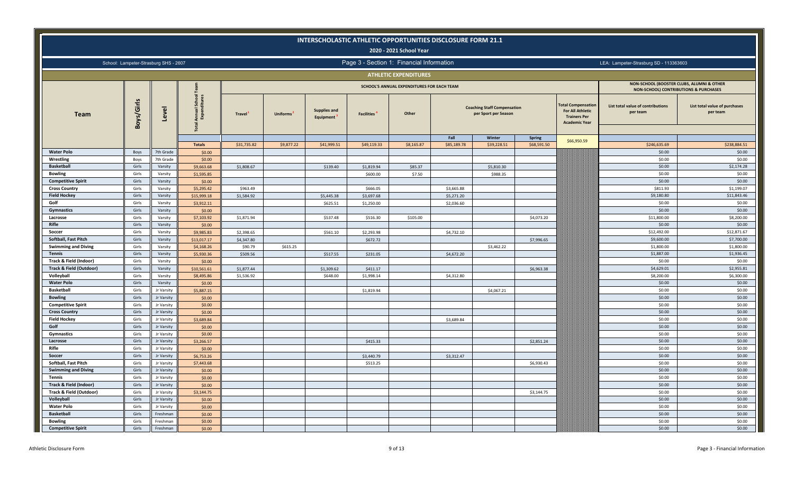|                                    |            |                                       |                                        |             |                 | INTERSCHOLASTIC ATHLETIC OPPORTUNITIES DISCLOSURE FORM 21.1 |                   | 2020 - 2021 School Year                    |             |                                                            |               |                                                                                                     |                                                                                               |                                           |
|------------------------------------|------------|---------------------------------------|----------------------------------------|-------------|-----------------|-------------------------------------------------------------|-------------------|--------------------------------------------|-------------|------------------------------------------------------------|---------------|-----------------------------------------------------------------------------------------------------|-----------------------------------------------------------------------------------------------|-------------------------------------------|
|                                    |            | School: Lampeter-Strasburg SHS - 2607 |                                        |             |                 |                                                             |                   | Page 3 - Section 1: Financial Information  |             |                                                            |               |                                                                                                     | LEA: Lampeter-Strasburg SD - 113363603                                                        |                                           |
|                                    |            |                                       |                                        |             |                 |                                                             |                   | <b>ATHLETIC EXPENDITURES</b>               |             |                                                            |               |                                                                                                     |                                                                                               |                                           |
|                                    |            |                                       |                                        |             |                 |                                                             |                   | SCHOOL'S ANNUAL EXPENDITURES FOR EACH TEAM |             |                                                            |               |                                                                                                     | NON-SCHOOL (BOOSTER CLUBS, ALUMNI & OTHER<br><b>NON-SCHOOL) CONTRIBUTIONS &amp; PURCHASES</b> |                                           |
| <b>Team</b>                        | Boys/Girls | Level                                 | $rac{1}{2}$<br>Annual :<br>Expend<br>豆 | Travel      | <b>Uniforms</b> | <b>Supplies and</b><br>Equipment                            | <b>Facilities</b> | Other                                      |             | <b>Coaching Staff Compensation</b><br>per Sport per Season |               | <b>Total Compensation</b><br><b>For All Athletic</b><br><b>Trainers Per</b><br><b>Academic Year</b> | List total value of contributions<br>per team                                                 | List total value of purchases<br>per team |
|                                    |            |                                       |                                        |             |                 |                                                             |                   |                                            | Fall        | Winter                                                     | <b>Spring</b> | \$66,950.59                                                                                         |                                                                                               |                                           |
|                                    |            |                                       | <b>Totals</b>                          | \$31,735.82 | \$9,877.22      | \$41,999.51                                                 | \$49,119.33       | \$8,165.87                                 | \$85,189.78 | \$39,228.51                                                | \$68,591.50   |                                                                                                     | \$246,635.69                                                                                  | \$238,884.51                              |
| <b>Water Polo</b>                  | Boys       | 7th Grade                             | \$0.00                                 |             |                 |                                                             |                   |                                            |             |                                                            |               |                                                                                                     | \$0.00                                                                                        | \$0.00                                    |
| Wrestling                          | Boys       | 7th Grade                             | \$0.00                                 |             |                 |                                                             |                   |                                            |             |                                                            |               |                                                                                                     | \$0.00                                                                                        | \$0.00                                    |
| <b>Basketball</b>                  | Girls      | Varsity                               | \$9,663.68                             | \$1,808.67  |                 | \$139.40                                                    | \$1,819.94        | \$85.37                                    |             | \$5,810.30                                                 |               |                                                                                                     | \$0.00                                                                                        | \$2,174.28                                |
| <b>Bowling</b>                     | Girls      | Varsity                               | \$1,595.85                             |             |                 |                                                             | \$600.00          | \$7.50                                     |             | \$988.35                                                   |               |                                                                                                     | \$0.00                                                                                        | \$0.00                                    |
| <b>Competitive Spirit</b>          | Girls      | Varsity                               | \$0.00                                 |             |                 |                                                             |                   |                                            |             |                                                            |               |                                                                                                     | \$0.00                                                                                        | \$0.00                                    |
| <b>Cross Country</b>               | Girls      | Varsity                               | \$5,295.42                             | \$963.49    |                 |                                                             | \$666.05          |                                            | \$3,665.88  |                                                            |               |                                                                                                     | \$811.93                                                                                      | \$1,199.07                                |
| <b>Field Hockey</b>                | Girls      | Varsity                               | \$15,999.18                            | \$1,584.92  |                 | \$5,445.38                                                  | \$3,697.68        |                                            | \$5,271.20  |                                                            |               |                                                                                                     | \$9,180.80                                                                                    | \$11,843.46                               |
| Golf                               | Girls      | Varsity                               | \$3,912.11                             |             |                 | \$625.51                                                    | \$1,250.00        |                                            | \$2,036.60  |                                                            |               |                                                                                                     | \$0.00                                                                                        | \$0.00                                    |
| Gymnastics                         | Girls      | Varsity                               | \$0.00                                 |             |                 |                                                             |                   |                                            |             |                                                            |               |                                                                                                     | \$0.00                                                                                        | \$0.00                                    |
| Lacrosse                           | Girls      | Varsity                               | \$7,103.92                             | \$1,871.94  |                 | \$537.48                                                    | \$516.30          | \$105.00                                   |             |                                                            | \$4,073.20    |                                                                                                     | \$11,800.00                                                                                   | \$8,200.00                                |
| Rifle                              | Girls      | Varsity                               | \$0.00                                 |             |                 |                                                             |                   |                                            |             |                                                            |               |                                                                                                     | \$0.00                                                                                        | \$0.00                                    |
| Soccer                             | Girls      | Varsity                               | \$9,985.83                             | \$2,398.65  |                 | \$561.10                                                    | \$2,293.98        |                                            | \$4,732.10  |                                                            |               |                                                                                                     | \$12,492.00                                                                                   | \$12,871.67                               |
| <b>Softball, Fast Pitch</b>        | Girls      | Varsity                               | \$13,017.17                            | \$4,347.80  |                 |                                                             | \$672.72          |                                            |             |                                                            | \$7,996.65    |                                                                                                     | \$9,600.00                                                                                    | \$7,700.00                                |
| <b>Swimming and Diving</b>         | Girls      | Varsity                               | \$4,168.26                             | \$90.79     | \$615.25        |                                                             |                   |                                            |             | \$3,462.22                                                 |               |                                                                                                     | \$1,800.00                                                                                    | \$1,800.00                                |
| <b>Tennis</b>                      | Girls      | Varsity                               | \$5,930.36                             | \$509.56    |                 | \$517.55                                                    | \$231.05          |                                            | \$4,672.20  |                                                            |               |                                                                                                     | \$1,887.00                                                                                    | \$1,936.45                                |
| Track & Field (Indoor)             | Girls      | Varsity                               | \$0.00                                 |             |                 |                                                             |                   |                                            |             |                                                            |               |                                                                                                     | \$0.00                                                                                        | \$0.00                                    |
| <b>Track &amp; Field (Outdoor)</b> | Girls      | Varsity                               | \$10,561.61                            | \$1,877.44  |                 | \$1,309.62                                                  | \$411.17          |                                            |             |                                                            | \$6,963.38    |                                                                                                     | \$4,629.01                                                                                    | \$2,955.81                                |
| Volleyball                         | Girls      | Varsity                               | \$8,495.86                             | \$1,536.92  |                 | \$648.00                                                    | \$1,998.14        |                                            | \$4,312.80  |                                                            |               |                                                                                                     | \$8,200.00                                                                                    | \$6,300.00                                |
| <b>Water Polo</b>                  | Girls      | Varsity                               | \$0.00                                 |             |                 |                                                             |                   |                                            |             |                                                            |               |                                                                                                     | \$0.00                                                                                        | \$0.00                                    |
| <b>Basketball</b>                  | Girls      | Jr Varsity                            | \$5,887.15                             |             |                 |                                                             | \$1,819.94        |                                            |             | \$4,067.21                                                 |               |                                                                                                     | \$0.00                                                                                        | \$0.00                                    |
| <b>Bowling</b>                     | Girls      | Jr Varsity                            | \$0.00                                 |             |                 |                                                             |                   |                                            |             |                                                            |               |                                                                                                     | \$0.00                                                                                        | \$0.00                                    |
| <b>Competitive Spirit</b>          | Girls      | Jr Varsity                            | \$0.00                                 |             |                 |                                                             |                   |                                            |             |                                                            |               |                                                                                                     | \$0.00                                                                                        | \$0.00                                    |
| <b>Cross Country</b>               | Girls      | Jr Varsity                            | \$0.00                                 |             |                 |                                                             |                   |                                            |             |                                                            |               |                                                                                                     | \$0.00                                                                                        | \$0.00                                    |
| <b>Field Hockey</b>                | Girls      | Jr Varsity                            | \$3,689.84                             |             |                 |                                                             |                   |                                            | \$3,689.84  |                                                            |               |                                                                                                     | \$0.00                                                                                        | \$0.00                                    |
| Golf                               | Girls      | Jr Varsity                            | \$0.00                                 |             |                 |                                                             |                   |                                            |             |                                                            |               |                                                                                                     | \$0.00                                                                                        | \$0.00                                    |
| Gymnastics                         | Girls      | Jr Varsity                            | \$0.00                                 |             |                 |                                                             |                   |                                            |             |                                                            |               |                                                                                                     | \$0.00                                                                                        | \$0.00                                    |
| Lacrosse                           | Girls      | Jr Varsity                            | \$3,266.57                             |             |                 |                                                             | \$415.33          |                                            |             |                                                            | \$2,851.24    |                                                                                                     | \$0.00                                                                                        | \$0.00                                    |
| Rifle                              | Girls      | Jr Varsity                            | \$0.00                                 |             |                 |                                                             |                   |                                            |             |                                                            |               |                                                                                                     | \$0.00                                                                                        | \$0.00                                    |
| Soccer                             | Girls      | Jr Varsity                            | \$6,753.26                             |             |                 |                                                             | \$3,440.79        |                                            | \$3,312.47  |                                                            |               |                                                                                                     | \$0.00                                                                                        | \$0.00                                    |
| Softball, Fast Pitch               | Girls      | Jr Varsity                            | \$7,443.68                             |             |                 |                                                             | \$513.25          |                                            |             |                                                            | \$6,930.43    |                                                                                                     | \$0.00                                                                                        | \$0.00                                    |
| <b>Swimming and Diving</b>         | Girls      | Jr Varsity                            | \$0.00                                 |             |                 |                                                             |                   |                                            |             |                                                            |               |                                                                                                     | \$0.00                                                                                        | \$0.00                                    |
| <b>Tennis</b>                      | Girls      | Jr Varsity                            | \$0.00                                 |             |                 |                                                             |                   |                                            |             |                                                            |               |                                                                                                     | \$0.00                                                                                        | \$0.00                                    |
| Track & Field (Indoor)             | Girls      | Jr Varsity                            | \$0.00                                 |             |                 |                                                             |                   |                                            |             |                                                            |               |                                                                                                     | \$0.00                                                                                        | \$0.00                                    |
| Track & Field (Outdoor)            | Girls      | Jr Varsity                            | \$3,144.75                             |             |                 |                                                             |                   |                                            |             |                                                            | \$3,144.75    |                                                                                                     | \$0.00                                                                                        | \$0.00                                    |
| Volleyball                         | Girls      | Jr Varsity                            | \$0.00                                 |             |                 |                                                             |                   |                                            |             |                                                            |               |                                                                                                     | \$0.00                                                                                        | \$0.00                                    |
| <b>Water Polo</b>                  | Girls      | Jr Varsity                            | \$0.00                                 |             |                 |                                                             |                   |                                            |             |                                                            |               |                                                                                                     | \$0.00                                                                                        | \$0.00                                    |
| <b>Basketball</b>                  | Girls      | Freshman                              | \$0.00                                 |             |                 |                                                             |                   |                                            |             |                                                            |               |                                                                                                     | \$0.00                                                                                        | \$0.00                                    |
| <b>Bowling</b>                     | Girls      | Freshman                              | \$0.00                                 |             |                 |                                                             |                   |                                            |             |                                                            |               |                                                                                                     | \$0.00                                                                                        | \$0.00                                    |
| <b>Competitive Spirit</b>          | Girls      | Freshman                              | \$0.00                                 |             |                 |                                                             |                   |                                            |             |                                                            |               |                                                                                                     | \$0.00                                                                                        | \$0.00                                    |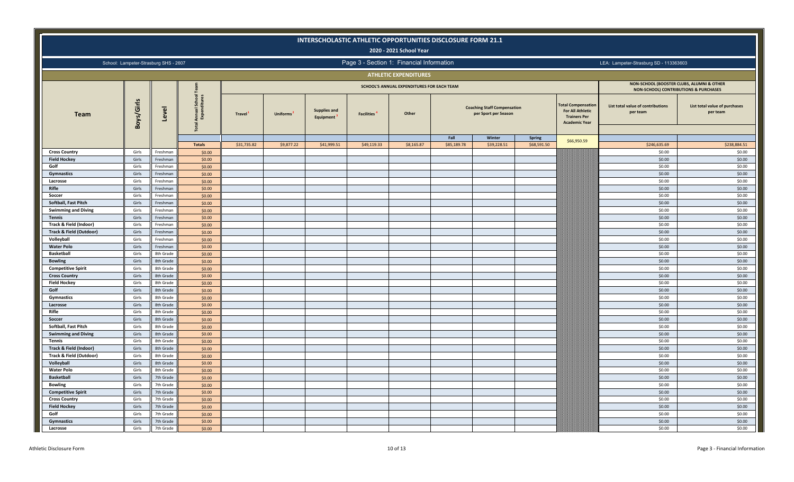|                                       |                |                                       |                                                  |             |                 |                                  |                                           | 2020 - 2021 School Year                    | INTERSCHOLASTIC ATHLETIC OPPORTUNITIES DISCLOSURE FORM 21.1 |                                                            |             |                                                                                                     |                                                                                    |                                           |
|---------------------------------------|----------------|---------------------------------------|--------------------------------------------------|-------------|-----------------|----------------------------------|-------------------------------------------|--------------------------------------------|-------------------------------------------------------------|------------------------------------------------------------|-------------|-----------------------------------------------------------------------------------------------------|------------------------------------------------------------------------------------|-------------------------------------------|
|                                       |                | School: Lampeter-Strasburg SHS - 2607 |                                                  |             |                 |                                  | Page 3 - Section 1: Financial Information |                                            |                                                             |                                                            |             |                                                                                                     | LEA: Lampeter-Strasburg SD - 113363603                                             |                                           |
|                                       |                |                                       |                                                  |             |                 |                                  |                                           | <b>ATHLETIC EXPENDITURES</b>               |                                                             |                                                            |             |                                                                                                     |                                                                                    |                                           |
|                                       |                |                                       |                                                  |             |                 |                                  |                                           | SCHOOL'S ANNUAL EXPENDITURES FOR EACH TEAM |                                                             |                                                            |             |                                                                                                     | NON-SCHOOL (BOOSTER CLUBS, ALUMNI & OTHER<br>NON-SCHOOL) CONTRIBUTIONS & PURCHASES |                                           |
| <b>Team</b>                           | Boys/Girls     | Level                                 | $rac{1}{2}$<br>Annual:<br>Expend<br><b>Total</b> | Travel      | <b>Uniforms</b> | <b>Supplies and</b><br>Equipment | <b>Facilities<sup>4</sup></b>             | Other                                      |                                                             | <b>Coaching Staff Compensation</b><br>per Sport per Season |             | <b>Total Compensation</b><br><b>For All Athletic</b><br><b>Trainers Per</b><br><b>Academic Year</b> | List total value of contributions<br>per team                                      | List total value of purchases<br>per team |
|                                       |                |                                       |                                                  |             |                 |                                  |                                           |                                            | Fall                                                        | Winter                                                     | Spring      | \$66,950.59                                                                                         |                                                                                    |                                           |
|                                       |                |                                       | <b>Totals</b>                                    | \$31,735.82 | \$9,877.22      | \$41,999.51                      | \$49,119.33                               | \$8,165.87                                 | \$85,189.78                                                 | \$39,228.51                                                | \$68,591.50 |                                                                                                     | \$246,635.69                                                                       | \$238,884.51                              |
| <b>Cross Country</b>                  | Girls          | Freshmar                              | \$0.00                                           |             |                 |                                  |                                           |                                            |                                                             |                                                            |             |                                                                                                     | \$0.00                                                                             | \$0.00                                    |
| <b>Field Hockey</b>                   | Girls          | Freshman                              | \$0.00                                           |             |                 |                                  |                                           |                                            |                                                             |                                                            |             |                                                                                                     | \$0.00                                                                             | \$0.00                                    |
| Golf                                  | Girls          | Freshman                              | \$0.00                                           |             |                 |                                  |                                           |                                            |                                                             |                                                            |             |                                                                                                     | \$0.00                                                                             | \$0.00                                    |
| Gymnastics                            | Girls          | Freshmar                              | \$0.00                                           |             |                 |                                  |                                           |                                            |                                                             |                                                            |             |                                                                                                     | \$0.00                                                                             | \$0.00                                    |
| Lacrosse                              | Girls          | Freshman                              | \$0.00                                           |             |                 |                                  |                                           |                                            |                                                             |                                                            |             |                                                                                                     | \$0.00                                                                             | \$0.00                                    |
| Rifle                                 | Girls          | Freshman                              | \$0.00                                           |             |                 |                                  |                                           |                                            |                                                             |                                                            |             |                                                                                                     | \$0.00                                                                             | \$0.00                                    |
| Soccer                                | Girls          | Freshmar                              | \$0.00                                           |             |                 |                                  |                                           |                                            |                                                             |                                                            |             |                                                                                                     | \$0.00                                                                             | \$0.00                                    |
| Softball, Fast Pitch                  | Girls          | Freshman                              | \$0.00                                           |             |                 |                                  |                                           |                                            |                                                             |                                                            |             |                                                                                                     | \$0.00                                                                             | \$0.00                                    |
| <b>Swimming and Diving</b>            | Girls          | Freshman                              | \$0.00                                           |             |                 |                                  |                                           |                                            |                                                             |                                                            |             |                                                                                                     | \$0.00                                                                             | \$0.00                                    |
| <b>Tennis</b>                         | Girls          | Freshman                              | \$0.00                                           |             |                 |                                  |                                           |                                            |                                                             |                                                            |             |                                                                                                     | \$0.00                                                                             | \$0.00                                    |
| Track & Field (Indoor)                | Girls          | Freshman                              | \$0.00                                           |             |                 |                                  |                                           |                                            |                                                             |                                                            |             |                                                                                                     | \$0.00                                                                             | \$0.00                                    |
| Track & Field (Outdoor)<br>Volleyball | Girls<br>Girls | Freshman<br>Freshman                  | \$0.00                                           |             |                 |                                  |                                           |                                            |                                                             |                                                            |             |                                                                                                     | \$0.00<br>\$0.00                                                                   | \$0.00<br>\$0.00                          |
| <b>Water Polo</b>                     | Girls          | Freshman                              | \$0.00                                           |             |                 |                                  |                                           |                                            |                                                             |                                                            |             |                                                                                                     | \$0.00                                                                             | \$0.00                                    |
| <b>Basketball</b>                     | Girls          | 8th Grade                             | \$0.00<br>\$0.00                                 |             |                 |                                  |                                           |                                            |                                                             |                                                            |             |                                                                                                     | \$0.00                                                                             | \$0.00                                    |
| <b>Bowling</b>                        | Girls          | 8th Grade                             | \$0.00                                           |             |                 |                                  |                                           |                                            |                                                             |                                                            |             |                                                                                                     | \$0.00                                                                             | \$0.00                                    |
| <b>Competitive Spirit</b>             | Girls          | 8th Grade                             | \$0.00                                           |             |                 |                                  |                                           |                                            |                                                             |                                                            |             |                                                                                                     | \$0.00                                                                             | \$0.00                                    |
| <b>Cross Country</b>                  | Girls          | 8th Grade                             | \$0.00                                           |             |                 |                                  |                                           |                                            |                                                             |                                                            |             |                                                                                                     | \$0.00                                                                             | \$0.00                                    |
| <b>Field Hockey</b>                   | Girls          | 8th Grade                             | \$0.00                                           |             |                 |                                  |                                           |                                            |                                                             |                                                            |             |                                                                                                     | \$0.00                                                                             | \$0.00                                    |
| Golf                                  | Girls          | 8th Grade                             | \$0.00                                           |             |                 |                                  |                                           |                                            |                                                             |                                                            |             |                                                                                                     | \$0.00                                                                             | \$0.00                                    |
| Gymnastics                            | Girls          | 8th Grade                             | \$0.00                                           |             |                 |                                  |                                           |                                            |                                                             |                                                            |             |                                                                                                     | \$0.00                                                                             | \$0.00                                    |
| Lacrosse                              | Girls          | 8th Grade                             | \$0.00                                           |             |                 |                                  |                                           |                                            |                                                             |                                                            |             |                                                                                                     | \$0.00                                                                             | \$0.00                                    |
| Rifle                                 | Girls          | 8th Grade                             | \$0.00                                           |             |                 |                                  |                                           |                                            |                                                             |                                                            |             |                                                                                                     | \$0.00                                                                             | \$0.00                                    |
| Soccer                                | Girls          | 8th Grade                             | \$0.00                                           |             |                 |                                  |                                           |                                            |                                                             |                                                            |             |                                                                                                     | \$0.00                                                                             | \$0.00                                    |
| Softball, Fast Pitch                  | Girls          | 8th Grade                             | \$0.00                                           |             |                 |                                  |                                           |                                            |                                                             |                                                            |             |                                                                                                     | \$0.00                                                                             | \$0.00                                    |
| <b>Swimming and Diving</b>            | Girls          | 8th Grade                             | \$0.00                                           |             |                 |                                  |                                           |                                            |                                                             |                                                            |             |                                                                                                     | \$0.00                                                                             | \$0.00                                    |
| <b>Tennis</b>                         | Girls          | 8th Grade                             | \$0.00                                           |             |                 |                                  |                                           |                                            |                                                             |                                                            |             |                                                                                                     | \$0.00                                                                             | \$0.00                                    |
| Track & Field (Indoor)                | Girls          | 8th Grade                             | \$0.00                                           |             |                 |                                  |                                           |                                            |                                                             |                                                            |             |                                                                                                     | \$0.00                                                                             | \$0.00                                    |
| Track & Field (Outdoor)               | Girls          | 8th Grade                             | \$0.00                                           |             |                 |                                  |                                           |                                            |                                                             |                                                            |             |                                                                                                     | \$0.00                                                                             | \$0.00                                    |
| Volleyball                            | Girls          | 8th Grade                             | \$0.00                                           |             |                 |                                  |                                           |                                            |                                                             |                                                            |             |                                                                                                     | \$0.00                                                                             | \$0.00                                    |
| <b>Water Polo</b>                     | Girls          | 8th Grade                             | \$0.00                                           |             |                 |                                  |                                           |                                            |                                                             |                                                            |             |                                                                                                     | \$0.00                                                                             | \$0.00                                    |
| <b>Basketball</b>                     | Girls          | 7th Grade                             | \$0.00                                           |             |                 |                                  |                                           |                                            |                                                             |                                                            |             |                                                                                                     | \$0.00                                                                             | \$0.00                                    |
| <b>Bowling</b>                        | Girls          | 7th Grade                             | \$0.00                                           |             |                 |                                  |                                           |                                            |                                                             |                                                            |             |                                                                                                     | \$0.00                                                                             | \$0.00                                    |
| <b>Competitive Spirit</b>             | Girls          | 7th Grade                             | \$0.00                                           |             |                 |                                  |                                           |                                            |                                                             |                                                            |             |                                                                                                     | \$0.00                                                                             | \$0.00                                    |
| <b>Cross Country</b>                  | Girls          | 7th Grade                             | \$0.00                                           |             |                 |                                  |                                           |                                            |                                                             |                                                            |             |                                                                                                     | \$0.00                                                                             | \$0.00                                    |
| <b>Field Hockey</b>                   | Girls          | 7th Grade                             | \$0.00                                           |             |                 |                                  |                                           |                                            |                                                             |                                                            |             |                                                                                                     | \$0.00                                                                             | \$0.00                                    |
| Golf                                  | Girls          | 7th Grade                             | \$0.00                                           |             |                 |                                  |                                           |                                            |                                                             |                                                            |             |                                                                                                     | \$0.00                                                                             | \$0.00                                    |
| Gymnastics                            | Girls          | 7th Grade                             | \$0.00                                           |             |                 |                                  |                                           |                                            |                                                             |                                                            |             |                                                                                                     | \$0.00                                                                             | \$0.00                                    |
| Lacrosse                              | Girls          | 7th Grade                             | \$0.00                                           |             |                 |                                  |                                           |                                            |                                                             |                                                            |             |                                                                                                     | \$0.00                                                                             | \$0.00                                    |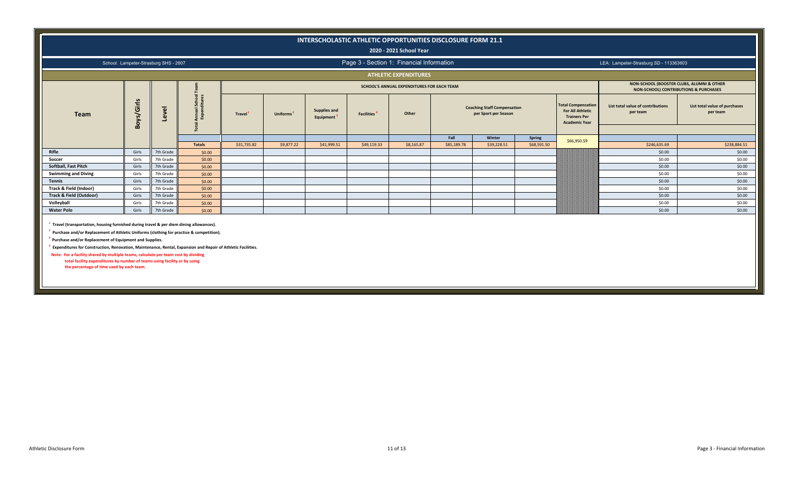|                                    |                                       |           |                 |             |                       |                                  |                                           | 2020 - 2021 School Year                    | INTERSCHOLASTIC ATHLETIC OPPORTUNITIES DISCLOSURE FORM 21.1 |                                                            |                       |                                                                                                     |                                                                                               |                                           |
|------------------------------------|---------------------------------------|-----------|-----------------|-------------|-----------------------|----------------------------------|-------------------------------------------|--------------------------------------------|-------------------------------------------------------------|------------------------------------------------------------|-----------------------|-----------------------------------------------------------------------------------------------------|-----------------------------------------------------------------------------------------------|-------------------------------------------|
|                                    | School: Lampeter-Strasburg SHS - 2607 |           |                 |             |                       |                                  | Page 3 - Section 1: Financial Information |                                            |                                                             |                                                            |                       |                                                                                                     | LEA: Lampeter-Strasburg SD - 113363603                                                        |                                           |
|                                    |                                       |           |                 |             |                       |                                  |                                           | <b>ATHLETIC EXPENDITURES</b>               |                                                             |                                                            |                       |                                                                                                     |                                                                                               |                                           |
|                                    |                                       |           |                 |             |                       |                                  |                                           | SCHOOL'S ANNUAL EXPENDITURES FOR EACH TEAM |                                                             |                                                            |                       |                                                                                                     | NON-SCHOOL (BOOSTER CLUBS, ALUMNI & OTHER<br><b>NON-SCHOOL) CONTRIBUTIONS &amp; PURCHASES</b> |                                           |
| Team                               | Boys/Girls                            | Level     | ទី និ<br>ទ្ធិ _ | Travel      | Uniforms <sup>2</sup> | <b>Supplies and</b><br>Equipment | <b>Facilities</b>                         | Other                                      |                                                             | <b>Coaching Staff Compensation</b><br>per Sport per Season |                       | <b>Total Compensation</b><br><b>For All Athletic</b><br><b>Trainers Per</b><br><b>Academic Year</b> | List total value of contributions<br>per team                                                 | List total value of purchases<br>per team |
|                                    |                                       |           |                 |             |                       |                                  |                                           |                                            |                                                             |                                                            |                       |                                                                                                     |                                                                                               |                                           |
|                                    |                                       |           | <b>Totals</b>   | \$31,735.82 | \$9,877.22            | \$41,999.51                      | \$49,119.33                               | \$8,165.87                                 | Fall<br>\$85,189.78                                         | Winter<br>\$39,228.51                                      | Spring<br>\$68,591.50 | \$66,950.59                                                                                         | \$246,635.69                                                                                  | \$238,884.51                              |
| Rifle                              | Girls                                 | 7th Grade | \$0.00          |             |                       |                                  |                                           |                                            |                                                             |                                                            |                       |                                                                                                     | \$0.00                                                                                        | \$0.00                                    |
| Soccer                             | Girls                                 | 7th Grade | \$0.00          |             |                       |                                  |                                           |                                            |                                                             |                                                            |                       |                                                                                                     | \$0.00                                                                                        | \$0.00                                    |
| Softball, Fast Pitch               | Girls                                 | 7th Grade | \$0.00          |             |                       |                                  |                                           |                                            |                                                             |                                                            |                       |                                                                                                     | \$0.00                                                                                        | \$0.00                                    |
| <b>Swimming and Diving</b>         | Girls                                 | 7th Grade | \$0.00          |             |                       |                                  |                                           |                                            |                                                             |                                                            |                       |                                                                                                     | \$0.00                                                                                        | \$0.00                                    |
| <b>Tennis</b>                      | Girls                                 | 7th Grade | \$0.00          |             |                       |                                  |                                           |                                            |                                                             |                                                            |                       |                                                                                                     | \$0.00                                                                                        | \$0.00                                    |
| Track & Field (Indoor)             | Girls                                 | 7th Grade | \$0.00          |             |                       |                                  |                                           |                                            |                                                             |                                                            |                       |                                                                                                     | \$0.00                                                                                        | \$0.00                                    |
| <b>Track &amp; Field (Outdoor)</b> | Girls                                 | 7th Grade | \$0.00          |             |                       |                                  |                                           |                                            |                                                             |                                                            |                       |                                                                                                     | \$0.00                                                                                        | \$0.00                                    |
| Volleyball                         | Girls                                 | 7th Grade | \$0.00          |             |                       |                                  |                                           |                                            |                                                             |                                                            |                       |                                                                                                     | \$0.00                                                                                        | \$0.00                                    |
| <b>Water Polo</b>                  | Girls                                 | 7th Grade | \$0.00          |             |                       |                                  |                                           |                                            |                                                             |                                                            |                       |                                                                                                     | \$0.00                                                                                        | \$0.00                                    |
|                                    |                                       |           |                 |             |                       |                                  |                                           |                                            |                                                             |                                                            |                       |                                                                                                     |                                                                                               |                                           |

**1 Travel (transportation, housing furnished during travel & per diem dining allowances).**

**2 Purchase and/or Replacement of Athletic Uniforms (clothing for practice & competition).**

**3 Purchase and/or Replacement of Equipment and Supplies.**

**4 Expenditures for Construction, Renovation, Maintenance, Rental, Expansion and Repair of Athletic Facilities.**

 **Note: For a facility shared by multiple teams, calculate per team cost by dividing total facility expenditures by number of teams using facility or by using the percentage of time used by each team.**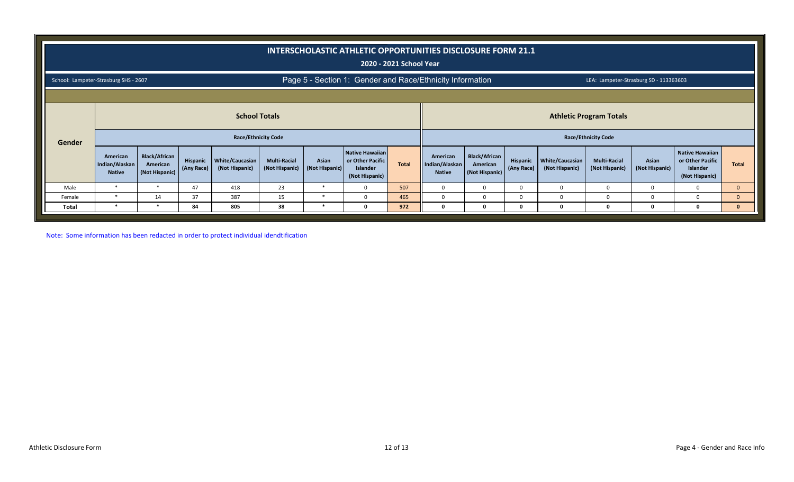|                                       |                                                                                                                    |                                                    |                        |                                   |                                       |                         | INTERSCHOLASTIC ATHLETIC OPPORTUNITIES DISCLOSURE FORM 21.1       | 2020 - 2021 School Year |                                             |                                                    |                        |                                   |                                        |                         |                                                                          |              |
|---------------------------------------|--------------------------------------------------------------------------------------------------------------------|----------------------------------------------------|------------------------|-----------------------------------|---------------------------------------|-------------------------|-------------------------------------------------------------------|-------------------------|---------------------------------------------|----------------------------------------------------|------------------------|-----------------------------------|----------------------------------------|-------------------------|--------------------------------------------------------------------------|--------------|
| School: Lampeter-Strasburg SHS - 2607 |                                                                                                                    |                                                    |                        |                                   |                                       |                         | Page 5 - Section 1: Gender and Race/Ethnicity Information         |                         |                                             |                                                    |                        |                                   | LEA: Lampeter-Strasburg SD - 113363603 |                         |                                                                          |              |
|                                       |                                                                                                                    |                                                    |                        |                                   |                                       |                         |                                                                   |                         |                                             |                                                    |                        |                                   |                                        |                         |                                                                          |              |
|                                       | <b>School Totals</b><br><b>Athletic Program Totals</b><br><b>Race/Ethnicity Code</b><br><b>Race/Ethnicity Code</b> |                                                    |                        |                                   |                                       |                         |                                                                   |                         |                                             |                                                    |                        |                                   |                                        |                         |                                                                          |              |
| Gender                                |                                                                                                                    |                                                    |                        |                                   |                                       |                         |                                                                   |                         |                                             |                                                    |                        |                                   |                                        |                         |                                                                          |              |
|                                       | American<br>Indian/Alaskan<br><b>Native</b>                                                                        | <b>Black/African</b><br>American<br>(Not Hispanic) | Hispanic<br>(Any Race) | White/Caucasian<br>(Not Hispanic) | <b>Multi-Racial</b><br>(Not Hispanic) | Asian<br>(Not Hispanic) | Native Hawaiian<br>or Other Pacific<br>Islander<br>(Not Hispanic) | Total                   | American<br>Indian/Alaskan<br><b>Native</b> | <b>Black/African</b><br>American<br>(Not Hispanic) | Hispanic<br>(Any Race) | White/Caucasian<br>(Not Hispanic) | <b>Multi-Racial</b><br>(Not Hispanic)  | Asian<br>(Not Hispanic) | <b>Native Hawaiian</b><br>or Other Pacific<br>Islander<br>(Not Hispanic) | <b>Total</b> |
| Male                                  | $\ast$                                                                                                             | $\ast$                                             | 47                     | 418                               | 23                                    | ∗                       | $\Omega$                                                          | 507                     | $\mathbf{0}$                                | $\Omega$                                           | <sup>0</sup>           | $\Omega$                          | $\Omega$                               | $\Omega$                | $\Omega$                                                                 | $\mathbf{0}$ |
| Female                                | $\ast$                                                                                                             | 14                                                 | 37                     | 387                               | 15                                    | $\ast$                  | $\Omega$                                                          | 465                     | $\Omega$                                    | $\Omega$                                           | <sup>0</sup>           | <sup>0</sup>                      | $\Omega$                               | $\Omega$                | $\Omega$                                                                 | $\mathbf{0}$ |
| Total                                 |                                                                                                                    | $\ast$                                             | 84                     | 805                               | 38                                    |                         |                                                                   | 972                     | 0                                           |                                                    |                        | 0                                 |                                        | Ω                       | $\Omega$                                                                 | $\mathbf{0}$ |

Note: Some information has been redacted in order to protect individual idendtification